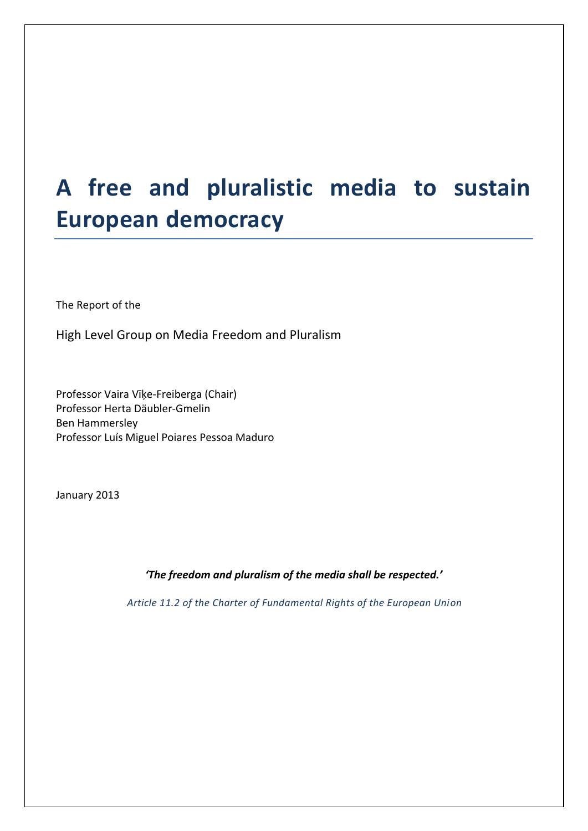# **A free and pluralistic media to sustain European democracy**

The Report of the

High Level Group on Media Freedom and Pluralism

Professor Vaira Vīķe-Freiberga (Chair) Professor Herta Däubler-Gmelin Ben Hammersley Professor Luís Miguel Poiares Pessoa Maduro

January 2013

*'The freedom and pluralism of the media shall be respected.'*

*Article 11.2 of the Charter of Fundamental Rights of the European Union*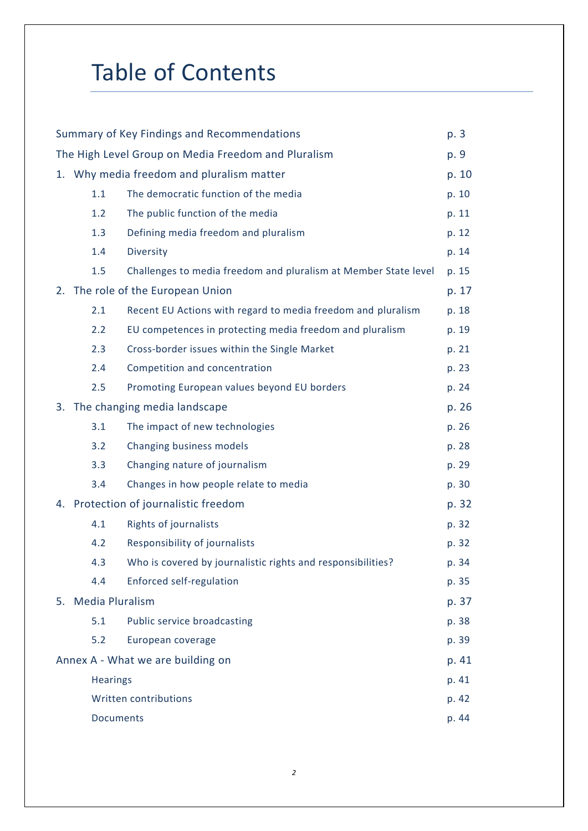# Table of Contents

| Summary of Key Findings and Recommendations         |                                           |                                                                 | p. 3  |
|-----------------------------------------------------|-------------------------------------------|-----------------------------------------------------------------|-------|
| The High Level Group on Media Freedom and Pluralism |                                           |                                                                 | p. 9  |
|                                                     | 1. Why media freedom and pluralism matter |                                                                 | p. 10 |
|                                                     | 1.1                                       | The democratic function of the media                            | p. 10 |
|                                                     | 1.2                                       | The public function of the media                                | p. 11 |
|                                                     | 1.3                                       | Defining media freedom and pluralism                            | p. 12 |
|                                                     | 1.4                                       | Diversity                                                       | p. 14 |
|                                                     | 1.5                                       | Challenges to media freedom and pluralism at Member State level | p. 15 |
|                                                     |                                           | 2. The role of the European Union                               | p. 17 |
|                                                     | 2.1                                       | Recent EU Actions with regard to media freedom and pluralism    | p. 18 |
|                                                     | 2.2                                       | EU competences in protecting media freedom and pluralism        | p. 19 |
|                                                     | 2.3                                       | Cross-border issues within the Single Market                    | p. 21 |
|                                                     | 2.4                                       | Competition and concentration                                   | p. 23 |
|                                                     | 2.5                                       | Promoting European values beyond EU borders                     | p. 24 |
|                                                     | 3. The changing media landscape           |                                                                 | p. 26 |
|                                                     | 3.1                                       | The impact of new technologies                                  | p. 26 |
|                                                     | 3.2                                       | Changing business models                                        | p. 28 |
|                                                     | 3.3                                       | Changing nature of journalism                                   | p. 29 |
|                                                     | 3.4                                       | Changes in how people relate to media                           | p. 30 |
|                                                     | 4. Protection of journalistic freedom     |                                                                 | p. 32 |
|                                                     | 4.1                                       | Rights of journalists                                           | p. 32 |
|                                                     | 4.2                                       | Responsibility of journalists                                   | p. 32 |
|                                                     | 4.3                                       | Who is covered by journalistic rights and responsibilities?     | p. 34 |
|                                                     | 4.4                                       | <b>Enforced self-regulation</b>                                 | p. 35 |
| 5. Media Pluralism                                  |                                           | p. 37                                                           |       |
|                                                     | 5.1                                       | Public service broadcasting                                     | p. 38 |
|                                                     | 5.2                                       | European coverage                                               | p. 39 |
| Annex A - What we are building on                   |                                           | p. 41                                                           |       |
|                                                     | <b>Hearings</b>                           |                                                                 | p. 41 |
|                                                     |                                           | Written contributions                                           | p. 42 |
|                                                     | <b>Documents</b>                          |                                                                 | p. 44 |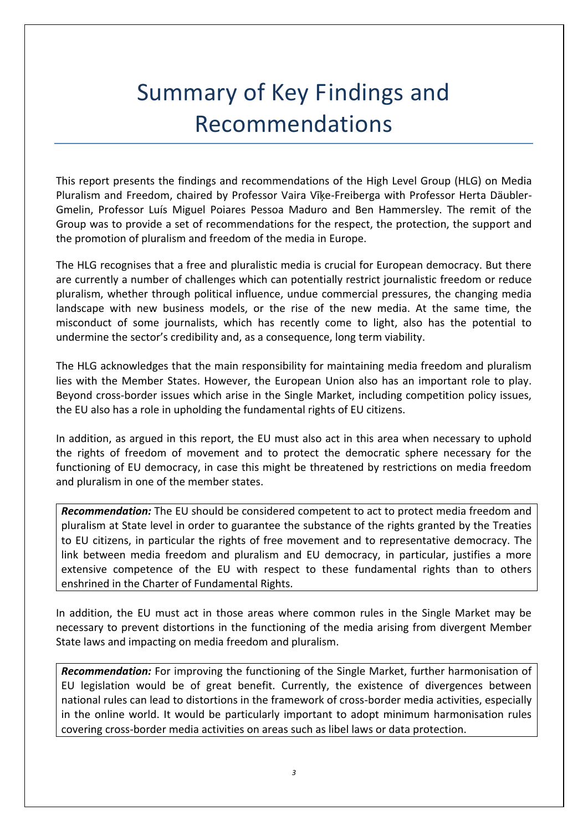# Summary of Key Findings and Recommendations

This report presents the findings and recommendations of the High Level Group (HLG) on Media Pluralism and Freedom, chaired by Professor Vaira Vīķe-Freiberga with Professor Herta Däubler-Gmelin, Professor Luís Miguel Poiares Pessoa Maduro and Ben Hammersley. The remit of the Group was to provide a set of recommendations for the respect, the protection, the support and the promotion of pluralism and freedom of the media in Europe.

The HLG recognises that a free and pluralistic media is crucial for European democracy. But there are currently a number of challenges which can potentially restrict journalistic freedom or reduce pluralism, whether through political influence, undue commercial pressures, the changing media landscape with new business models, or the rise of the new media. At the same time, the misconduct of some journalists, which has recently come to light, also has the potential to undermine the sector's credibility and, as a consequence, long term viability.

The HLG acknowledges that the main responsibility for maintaining media freedom and pluralism lies with the Member States. However, the European Union also has an important role to play. Beyond cross-border issues which arise in the Single Market, including competition policy issues, the EU also has a role in upholding the fundamental rights of EU citizens.

In addition, as argued in this report, the EU must also act in this area when necessary to uphold the rights of freedom of movement and to protect the democratic sphere necessary for the functioning of EU democracy, in case this might be threatened by restrictions on media freedom and pluralism in one of the member states.

*Recommendation:* The EU should be considered competent to act to protect media freedom and pluralism at State level in order to guarantee the substance of the rights granted by the Treaties to EU citizens, in particular the rights of free movement and to representative democracy. The link between media freedom and pluralism and EU democracy, in particular, justifies a more extensive competence of the EU with respect to these fundamental rights than to others enshrined in the Charter of Fundamental Rights.

In addition, the EU must act in those areas where common rules in the Single Market may be necessary to prevent distortions in the functioning of the media arising from divergent Member State laws and impacting on media freedom and pluralism.

*Recommendation:* For improving the functioning of the Single Market, further harmonisation of EU legislation would be of great benefit. Currently, the existence of divergences between national rules can lead to distortions in the framework of cross-border media activities, especially in the online world. It would be particularly important to adopt minimum harmonisation rules covering cross-border media activities on areas such as libel laws or data protection.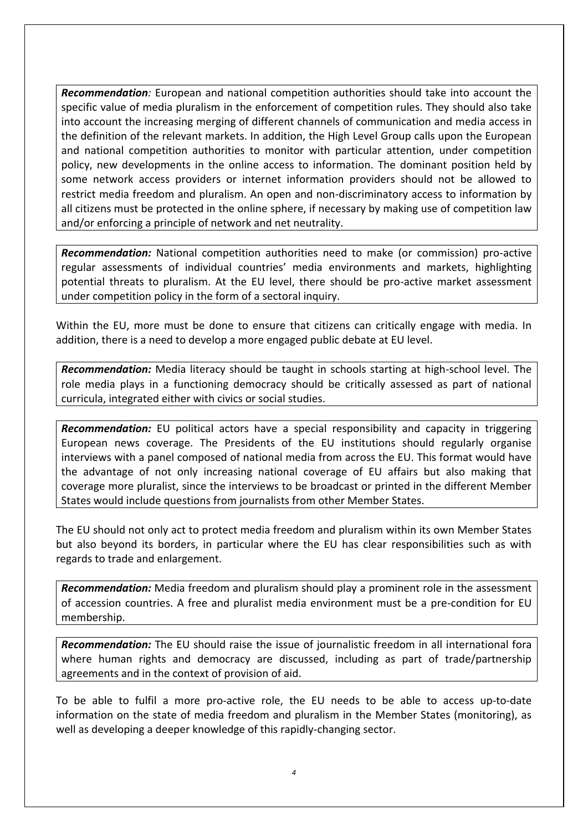*Recommendation:* European and national competition authorities should take into account the specific value of media pluralism in the enforcement of competition rules. They should also take into account the increasing merging of different channels of communication and media access in the definition of the relevant markets. In addition, the High Level Group calls upon the European and national competition authorities to monitor with particular attention, under competition policy, new developments in the online access to information. The dominant position held by some network access providers or internet information providers should not be allowed to restrict media freedom and pluralism. An open and non-discriminatory access to information by all citizens must be protected in the online sphere, if necessary by making use of competition law and/or enforcing a principle of network and net neutrality.

*Recommendation:* National competition authorities need to make (or commission) pro-active regular assessments of individual countries' media environments and markets, highlighting potential threats to pluralism. At the EU level, there should be pro-active market assessment under competition policy in the form of a sectoral inquiry.

Within the EU, more must be done to ensure that citizens can critically engage with media. In addition, there is a need to develop a more engaged public debate at EU level.

*Recommendation:* Media literacy should be taught in schools starting at high-school level. The role media plays in a functioning democracy should be critically assessed as part of national curricula, integrated either with civics or social studies.

*Recommendation:* EU political actors have a special responsibility and capacity in triggering European news coverage. The Presidents of the EU institutions should regularly organise interviews with a panel composed of national media from across the EU. This format would have the advantage of not only increasing national coverage of EU affairs but also making that coverage more pluralist, since the interviews to be broadcast or printed in the different Member States would include questions from journalists from other Member States.

The EU should not only act to protect media freedom and pluralism within its own Member States but also beyond its borders, in particular where the EU has clear responsibilities such as with regards to trade and enlargement.

*Recommendation:* Media freedom and pluralism should play a prominent role in the assessment of accession countries. A free and pluralist media environment must be a pre-condition for EU membership.

*Recommendation:* The EU should raise the issue of journalistic freedom in all international fora where human rights and democracy are discussed, including as part of trade/partnership agreements and in the context of provision of aid.

To be able to fulfil a more pro-active role, the EU needs to be able to access up-to-date information on the state of media freedom and pluralism in the Member States (monitoring), as well as developing a deeper knowledge of this rapidly-changing sector.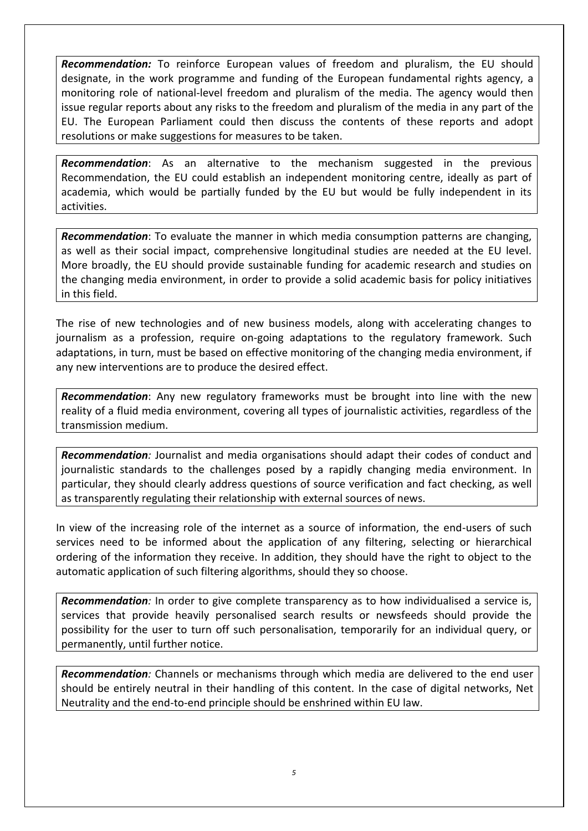*Recommendation:* To reinforce European values of freedom and pluralism, the EU should designate, in the work programme and funding of the European fundamental rights agency, a monitoring role of national-level freedom and pluralism of the media. The agency would then issue regular reports about any risks to the freedom and pluralism of the media in any part of the EU. The European Parliament could then discuss the contents of these reports and adopt resolutions or make suggestions for measures to be taken.

*Recommendation*: As an alternative to the mechanism suggested in the previous Recommendation, the EU could establish an independent monitoring centre, ideally as part of academia, which would be partially funded by the EU but would be fully independent in its activities.

*Recommendation*: To evaluate the manner in which media consumption patterns are changing, as well as their social impact, comprehensive longitudinal studies are needed at the EU level. More broadly, the EU should provide sustainable funding for academic research and studies on the changing media environment, in order to provide a solid academic basis for policy initiatives in this field.

The rise of new technologies and of new business models, along with accelerating changes to journalism as a profession, require on-going adaptations to the regulatory framework. Such adaptations, in turn, must be based on effective monitoring of the changing media environment, if any new interventions are to produce the desired effect.

*Recommendation*: Any new regulatory frameworks must be brought into line with the new reality of a fluid media environment, covering all types of journalistic activities, regardless of the transmission medium.

*Recommendation:* Journalist and media organisations should adapt their codes of conduct and journalistic standards to the challenges posed by a rapidly changing media environment. In particular, they should clearly address questions of source verification and fact checking, as well as transparently regulating their relationship with external sources of news.

In view of the increasing role of the internet as a source of information, the end-users of such services need to be informed about the application of any filtering, selecting or hierarchical ordering of the information they receive. In addition, they should have the right to object to the automatic application of such filtering algorithms, should they so choose.

*Recommendation:* In order to give complete transparency as to how individualised a service is, services that provide heavily personalised search results or newsfeeds should provide the possibility for the user to turn off such personalisation, temporarily for an individual query, or permanently, until further notice.

*Recommendation:* Channels or mechanisms through which media are delivered to the end user should be entirely neutral in their handling of this content. In the case of digital networks, Net Neutrality and the end-to-end principle should be enshrined within EU law.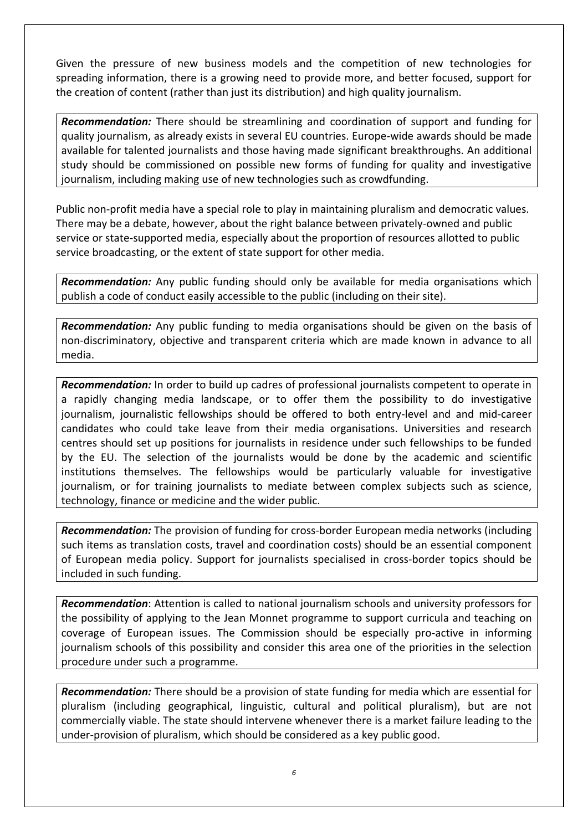Given the pressure of new business models and the competition of new technologies for spreading information, there is a growing need to provide more, and better focused, support for the creation of content (rather than just its distribution) and high quality journalism.

*Recommendation:* There should be streamlining and coordination of support and funding for quality journalism, as already exists in several EU countries. Europe-wide awards should be made available for talented journalists and those having made significant breakthroughs. An additional study should be commissioned on possible new forms of funding for quality and investigative journalism, including making use of new technologies such as crowdfunding.

Public non-profit media have a special role to play in maintaining pluralism and democratic values. There may be a debate, however, about the right balance between privately-owned and public service or state-supported media, especially about the proportion of resources allotted to public service broadcasting, or the extent of state support for other media.

*Recommendation:* Any public funding should only be available for media organisations which publish a code of conduct easily accessible to the public (including on their site).

*Recommendation:* Any public funding to media organisations should be given on the basis of non-discriminatory, objective and transparent criteria which are made known in advance to all media.

*Recommendation:* In order to build up cadres of professional journalists competent to operate in a rapidly changing media landscape, or to offer them the possibility to do investigative journalism, journalistic fellowships should be offered to both entry-level and and mid-career candidates who could take leave from their media organisations. Universities and research centres should set up positions for journalists in residence under such fellowships to be funded by the EU. The selection of the journalists would be done by the academic and scientific institutions themselves. The fellowships would be particularly valuable for investigative journalism, or for training journalists to mediate between complex subjects such as science, technology, finance or medicine and the wider public.

*Recommendation:* The provision of funding for cross-border European media networks (including such items as translation costs, travel and coordination costs) should be an essential component of European media policy. Support for journalists specialised in cross-border topics should be included in such funding.

*Recommendation*: Attention is called to national journalism schools and university professors for the possibility of applying to the Jean Monnet programme to support curricula and teaching on coverage of European issues. The Commission should be especially pro-active in informing journalism schools of this possibility and consider this area one of the priorities in the selection procedure under such a programme.

*Recommendation:* There should be a provision of state funding for media which are essential for pluralism (including geographical, linguistic, cultural and political pluralism), but are not commercially viable. The state should intervene whenever there is a market failure leading to the under-provision of pluralism, which should be considered as a key public good.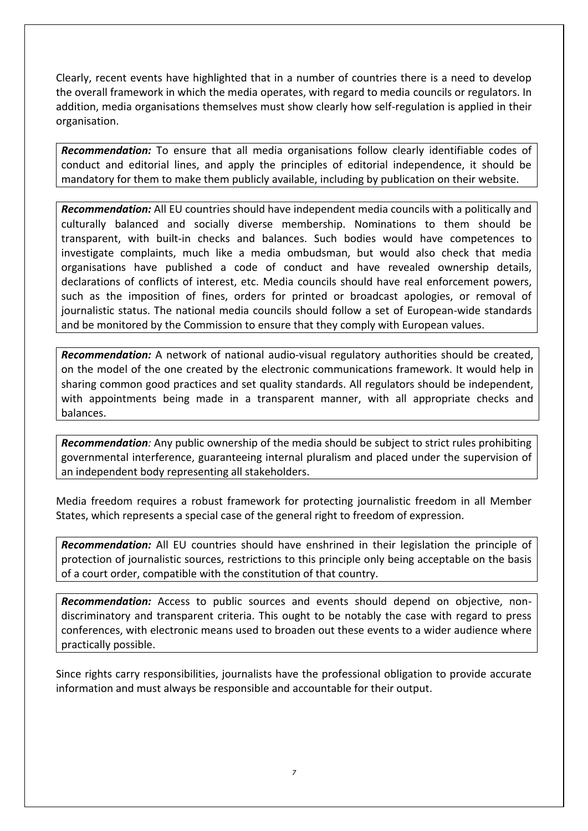Clearly, recent events have highlighted that in a number of countries there is a need to develop the overall framework in which the media operates, with regard to media councils or regulators. In addition, media organisations themselves must show clearly how self-regulation is applied in their organisation.

*Recommendation:* To ensure that all media organisations follow clearly identifiable codes of conduct and editorial lines, and apply the principles of editorial independence, it should be mandatory for them to make them publicly available, including by publication on their website.

*Recommendation:* All EU countries should have independent media councils with a politically and culturally balanced and socially diverse membership. Nominations to them should be transparent, with built-in checks and balances. Such bodies would have competences to investigate complaints, much like a media ombudsman, but would also check that media organisations have published a code of conduct and have revealed ownership details, declarations of conflicts of interest, etc. Media councils should have real enforcement powers, such as the imposition of fines, orders for printed or broadcast apologies, or removal of journalistic status. The national media councils should follow a set of European-wide standards and be monitored by the Commission to ensure that they comply with European values.

*Recommendation:* A network of national audio-visual regulatory authorities should be created, on the model of the one created by the electronic communications framework. It would help in sharing common good practices and set quality standards. All regulators should be independent, with appointments being made in a transparent manner, with all appropriate checks and balances.

*Recommendation:* Any public ownership of the media should be subject to strict rules prohibiting governmental interference, guaranteeing internal pluralism and placed under the supervision of an independent body representing all stakeholders.

Media freedom requires a robust framework for protecting journalistic freedom in all Member States, which represents a special case of the general right to freedom of expression.

*Recommendation:* All EU countries should have enshrined in their legislation the principle of protection of journalistic sources, restrictions to this principle only being acceptable on the basis of a court order, compatible with the constitution of that country.

*Recommendation:* Access to public sources and events should depend on objective, nondiscriminatory and transparent criteria. This ought to be notably the case with regard to press conferences, with electronic means used to broaden out these events to a wider audience where practically possible.

Since rights carry responsibilities, journalists have the professional obligation to provide accurate information and must always be responsible and accountable for their output.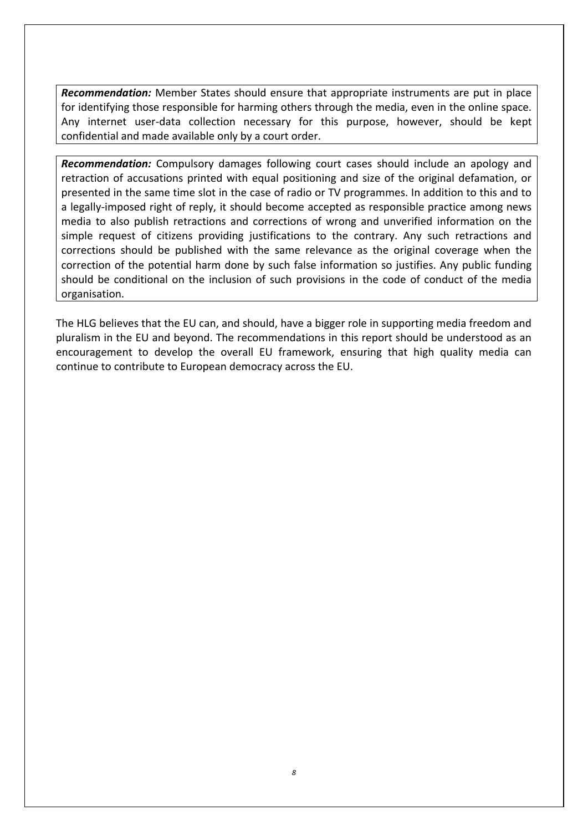*Recommendation:* Member States should ensure that appropriate instruments are put in place for identifying those responsible for harming others through the media, even in the online space. Any internet user-data collection necessary for this purpose, however, should be kept confidential and made available only by a court order.

*Recommendation:* Compulsory damages following court cases should include an apology and retraction of accusations printed with equal positioning and size of the original defamation, or presented in the same time slot in the case of radio or TV programmes. In addition to this and to a legally-imposed right of reply, it should become accepted as responsible practice among news media to also publish retractions and corrections of wrong and unverified information on the simple request of citizens providing justifications to the contrary. Any such retractions and corrections should be published with the same relevance as the original coverage when the correction of the potential harm done by such false information so justifies. Any public funding should be conditional on the inclusion of such provisions in the code of conduct of the media organisation.

The HLG believes that the EU can, and should, have a bigger role in supporting media freedom and pluralism in the EU and beyond. The recommendations in this report should be understood as an encouragement to develop the overall EU framework, ensuring that high quality media can continue to contribute to European democracy across the EU.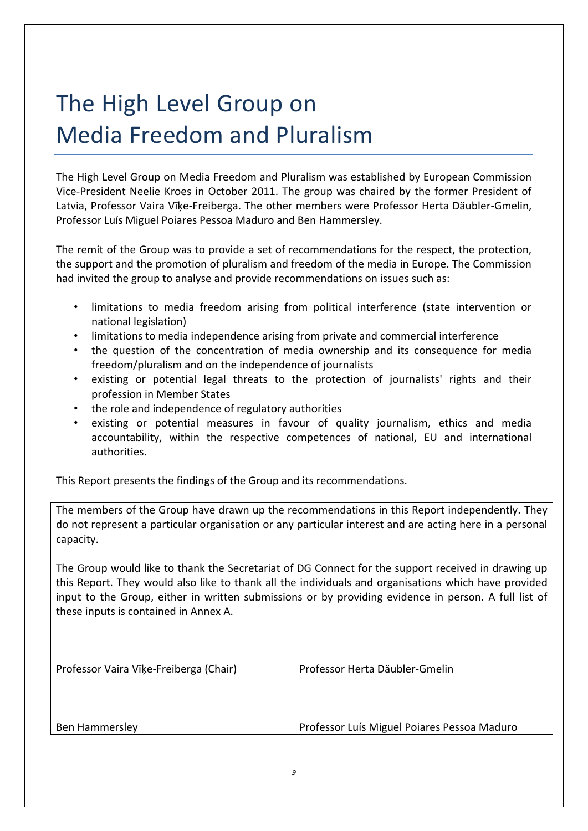# The High Level Group on Media Freedom and Pluralism

The High Level Group on Media Freedom and Pluralism was established by European Commission Vice-President Neelie Kroes in October 2011. The group was chaired by the former President of Latvia, Professor Vaira Vīķe-Freiberga. The other members were Professor Herta Däubler-Gmelin, Professor Luís Miguel Poiares Pessoa Maduro and Ben Hammersley.

The remit of the Group was to provide a set of recommendations for the respect, the protection, the support and the promotion of pluralism and freedom of the media in Europe. The Commission had invited the group to analyse and provide recommendations on issues such as:

- limitations to media freedom arising from political interference (state intervention or national legislation)
- limitations to media independence arising from private and commercial interference
- the question of the concentration of media ownership and its consequence for media freedom/pluralism and on the independence of journalists
- existing or potential legal threats to the protection of journalists' rights and their profession in Member States
- the role and independence of regulatory authorities
- existing or potential measures in favour of quality journalism, ethics and media accountability, within the respective competences of national, EU and international authorities.

This Report presents the findings of the Group and its recommendations.

The members of the Group have drawn up the recommendations in this Report independently. They do not represent a particular organisation or any particular interest and are acting here in a personal capacity.

The Group would like to thank the Secretariat of DG Connect for the support received in drawing up this Report. They would also like to thank all the individuals and organisations which have provided input to the Group, either in written submissions or by providing evidence in person. A full list of these inputs is contained in Annex A.

Professor Vaira Vīķe-Freiberga (Chair) Professor Herta Däubler-Gmelin

Ben Hammersley **Professor Luís Miguel Poiares Pessoa Maduro**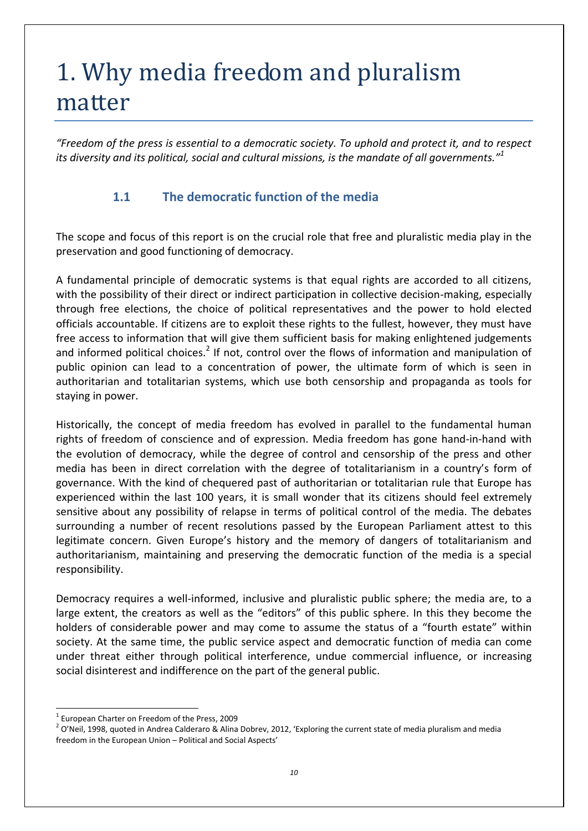# 1. Why media freedom and pluralism matter

*"Freedom of the press is essential to a democratic society. To uphold and protect it, and to respect its diversity and its political, social and cultural missions, is the mandate of all governments."<sup>1</sup>*

#### **1.1 The democratic function of the media**

The scope and focus of this report is on the crucial role that free and pluralistic media play in the preservation and good functioning of democracy.

A fundamental principle of democratic systems is that equal rights are accorded to all citizens, with the possibility of their direct or indirect participation in collective decision-making, especially through free elections, the choice of political representatives and the power to hold elected officials accountable. If citizens are to exploit these rights to the fullest, however, they must have free access to information that will give them sufficient basis for making enlightened judgements and informed political choices.<sup>2</sup> If not, control over the flows of information and manipulation of public opinion can lead to a concentration of power, the ultimate form of which is seen in authoritarian and totalitarian systems, which use both censorship and propaganda as tools for staying in power.

Historically, the concept of media freedom has evolved in parallel to the fundamental human rights of freedom of conscience and of expression. Media freedom has gone hand-in-hand with the evolution of democracy, while the degree of control and censorship of the press and other media has been in direct correlation with the degree of totalitarianism in a country's form of governance. With the kind of chequered past of authoritarian or totalitarian rule that Europe has experienced within the last 100 years, it is small wonder that its citizens should feel extremely sensitive about any possibility of relapse in terms of political control of the media. The debates surrounding a number of recent resolutions passed by the European Parliament attest to this legitimate concern. Given Europe's history and the memory of dangers of totalitarianism and authoritarianism, maintaining and preserving the democratic function of the media is a special responsibility.

Democracy requires a well-informed, inclusive and pluralistic public sphere; the media are, to a large extent, the creators as well as the "editors" of this public sphere. In this they become the holders of considerable power and may come to assume the status of a "fourth estate" within society. At the same time, the public service aspect and democratic function of media can come under threat either through political interference, undue commercial influence, or increasing social disinterest and indifference on the part of the general public.

<sup>1</sup> European Charter on Freedom of the Press, 2009

 $^2$  O'Neil, 1998, quoted in Andrea Calderaro & Alina Dobrev, 2012, 'Exploring the current state of media pluralism and media freedom in the European Union – Political and Social Aspects'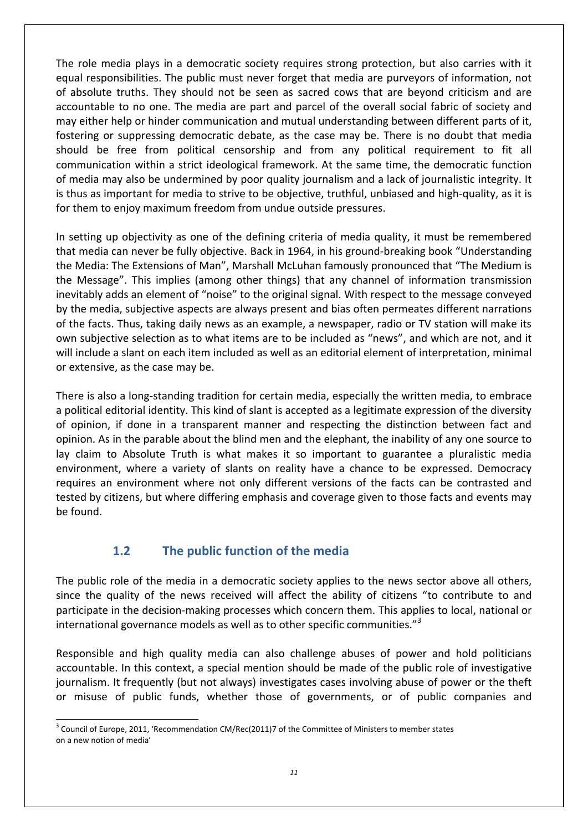The role media plays in a democratic society requires strong protection, but also carries with it equal responsibilities. The public must never forget that media are purveyors of information, not of absolute truths. They should not be seen as sacred cows that are beyond criticism and are accountable to no one. The media are part and parcel of the overall social fabric of society and may either help or hinder communication and mutual understanding between different parts of it, fostering or suppressing democratic debate, as the case may be. There is no doubt that media should be free from political censorship and from any political requirement to fit all communication within a strict ideological framework. At the same time, the democratic function of media may also be undermined by poor quality journalism and a lack of journalistic integrity. It is thus as important for media to strive to be objective, truthful, unbiased and high-quality, as it is for them to enjoy maximum freedom from undue outside pressures.

In setting up objectivity as one of the defining criteria of media quality, it must be remembered that media can never be fully objective. Back in 1964, in his ground-breaking book "Understanding the Media: The Extensions of Man", Marshall McLuhan famously pronounced that "The Medium is the Message". This implies (among other things) that any channel of information transmission inevitably adds an element of "noise" to the original signal. With respect to the message conveyed by the media, subjective aspects are always present and bias often permeates different narrations of the facts. Thus, taking daily news as an example, a newspaper, radio or TV station will make its own subjective selection as to what items are to be included as "news", and which are not, and it will include a slant on each item included as well as an editorial element of interpretation, minimal or extensive, as the case may be.

There is also a long-standing tradition for certain media, especially the written media, to embrace a political editorial identity. This kind of slant is accepted as a legitimate expression of the diversity of opinion, if done in a transparent manner and respecting the distinction between fact and opinion. As in the parable about the blind men and the elephant, the inability of any one source to lay claim to Absolute Truth is what makes it so important to guarantee a pluralistic media environment, where a variety of slants on reality have a chance to be expressed. Democracy requires an environment where not only different versions of the facts can be contrasted and tested by citizens, but where differing emphasis and coverage given to those facts and events may be found.

#### **1.2 The public function of the media**

The public role of the media in a democratic society applies to the news sector above all others, since the quality of the news received will affect the ability of citizens "to contribute to and participate in the decision-making processes which concern them. This applies to local, national or international governance models as well as to other specific communities."<sup>3</sup>

Responsible and high quality media can also challenge abuses of power and hold politicians accountable. In this context, a special mention should be made of the public role of investigative journalism. It frequently (but not always) investigates cases involving abuse of power or the theft or misuse of public funds, whether those of governments, or of public companies and

 $3$  Council of Europe, 2011, 'Recommendation CM/Rec(2011)7 of the Committee of Ministers to member states on a new notion of media'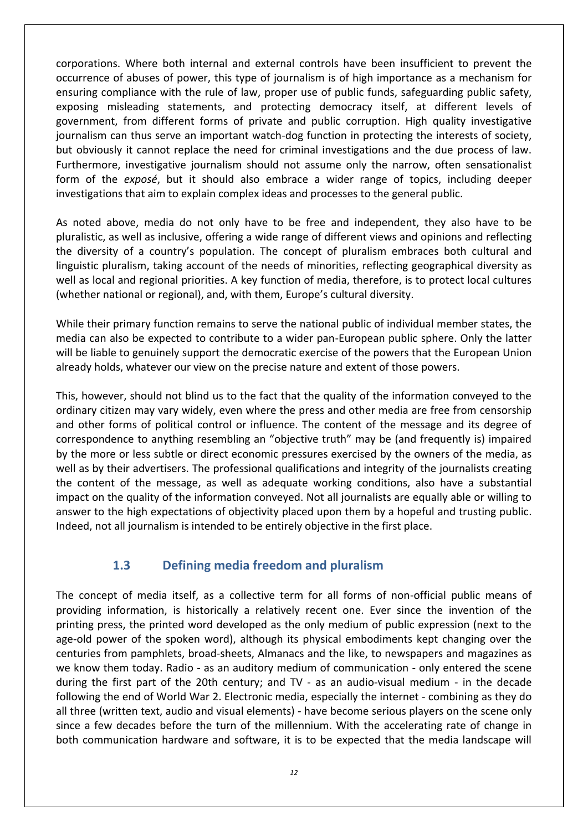corporations. Where both internal and external controls have been insufficient to prevent the occurrence of abuses of power, this type of journalism is of high importance as a mechanism for ensuring compliance with the rule of law, proper use of public funds, safeguarding public safety, exposing misleading statements, and protecting democracy itself, at different levels of government, from different forms of private and public corruption. High quality investigative journalism can thus serve an important watch-dog function in protecting the interests of society, but obviously it cannot replace the need for criminal investigations and the due process of law. Furthermore, investigative journalism should not assume only the narrow, often sensationalist form of the *exposé*, but it should also embrace a wider range of topics, including deeper investigations that aim to explain complex ideas and processes to the general public.

As noted above, media do not only have to be free and independent, they also have to be pluralistic, as well as inclusive, offering a wide range of different views and opinions and reflecting the diversity of a country's population. The concept of pluralism embraces both cultural and linguistic pluralism, taking account of the needs of minorities, reflecting geographical diversity as well as local and regional priorities. A key function of media, therefore, is to protect local cultures (whether national or regional), and, with them, Europe's cultural diversity.

While their primary function remains to serve the national public of individual member states, the media can also be expected to contribute to a wider pan-European public sphere. Only the latter will be liable to genuinely support the democratic exercise of the powers that the European Union already holds, whatever our view on the precise nature and extent of those powers.

This, however, should not blind us to the fact that the quality of the information conveyed to the ordinary citizen may vary widely, even where the press and other media are free from censorship and other forms of political control or influence. The content of the message and its degree of correspondence to anything resembling an "objective truth" may be (and frequently is) impaired by the more or less subtle or direct economic pressures exercised by the owners of the media, as well as by their advertisers. The professional qualifications and integrity of the journalists creating the content of the message, as well as adequate working conditions, also have a substantial impact on the quality of the information conveyed. Not all journalists are equally able or willing to answer to the high expectations of objectivity placed upon them by a hopeful and trusting public. Indeed, not all journalism is intended to be entirely objective in the first place.

#### **1.3 Defining media freedom and pluralism**

The concept of media itself, as a collective term for all forms of non-official public means of providing information, is historically a relatively recent one. Ever since the invention of the printing press, the printed word developed as the only medium of public expression (next to the age-old power of the spoken word), although its physical embodiments kept changing over the centuries from pamphlets, broad-sheets, Almanacs and the like, to newspapers and magazines as we know them today. Radio - as an auditory medium of communication - only entered the scene during the first part of the 20th century; and TV - as an audio-visual medium - in the decade following the end of World War 2. Electronic media, especially the internet - combining as they do all three (written text, audio and visual elements) - have become serious players on the scene only since a few decades before the turn of the millennium. With the accelerating rate of change in both communication hardware and software, it is to be expected that the media landscape will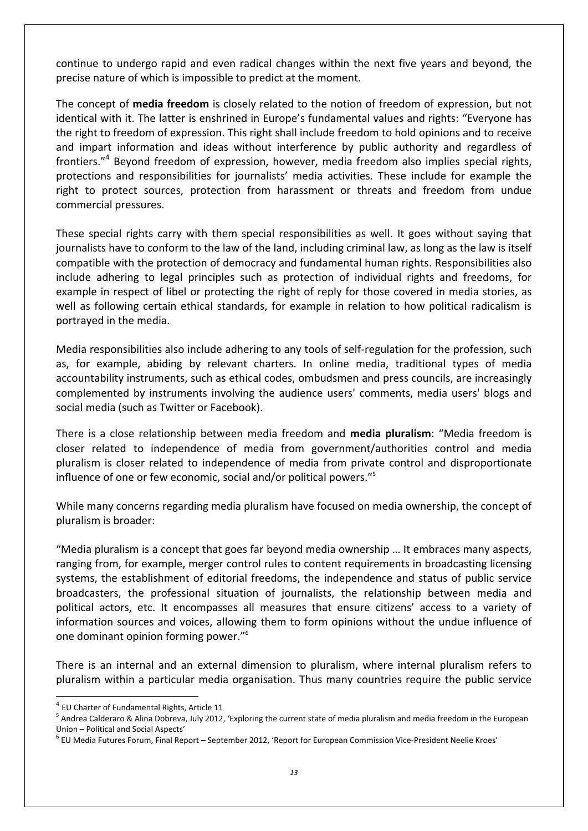continue to undergo rapid and even radical changes within the next five years and beyond, the precise nature of which is impossible to predict at the moment.

The concept of **media freedom** is closely related to the notion of freedom of expression, but not identical with it. The latter is enshrined in Europe's fundamental values and rights: "Everyone has the right to freedom of expression. This right shall include freedom to hold opinions and to receive and impart information and ideas without interference by public authority and regardless of frontiers."<sup>4</sup> Beyond freedom of expression, however, media freedom also implies special rights, protections and responsibilities for journalists' media activities. These include for example the right to protect sources, protection from harassment or threats and freedom from undue commercial pressures.

These special rights carry with them special responsibilities as well. It goes without saying that journalists have to conform to the law of the land, including criminal law, as long as the law is itself compatible with the protection of democracy and fundamental human rights. Responsibilities also include adhering to legal principles such as protection of individual rights and freedoms, for example in respect of libel or protecting the right of reply for those covered in media stories, as well as following certain ethical standards, for example in relation to how political radicalism is portrayed in the media.

Media responsibilities also include adhering to any tools of self-regulation for the profession, such as, for example, abiding by relevant charters. In online media, traditional types of media accountability instruments, such as ethical codes, ombudsmen and press councils, are increasingly complemented by instruments involving the audience users' comments, media users' blogs and social media (such as Twitter or Facebook).

There is a close relationship between media freedom and **media pluralism**: "Media freedom is closer related to independence of media from government/authorities control and media pluralism is closer related to independence of media from private control and disproportionate influence of one or few economic, social and/or political powers."<sup>5</sup>

While many concerns regarding media pluralism have focused on media ownership, the concept of pluralism is broader:

"Media pluralism is a concept that goes far beyond media ownership … It embraces many aspects, ranging from, for example, merger control rules to content requirements in broadcasting licensing systems, the establishment of editorial freedoms, the independence and status of public service broadcasters, the professional situation of journalists, the relationship between media and political actors, etc. It encompasses all measures that ensure citizens' access to a variety of information sources and voices, allowing them to form opinions without the undue influence of one dominant opinion forming power."<sup>6</sup>

There is an internal and an external dimension to pluralism, where internal pluralism refers to pluralism within a particular media organisation. Thus many countries require the public service

 $^4$  EU Charter of Fundamental Rights, Article 11

<sup>&</sup>lt;sup>5</sup> Andrea Calderaro & Alina Dobreva, July 2012, 'Exploring the current state of media pluralism and media freedom in the European Union – Political and Social Aspects'

 $^6$  EU Media Futures Forum, Final Report – September 2012, 'Report for European Commission Vice-President Neelie Kroes'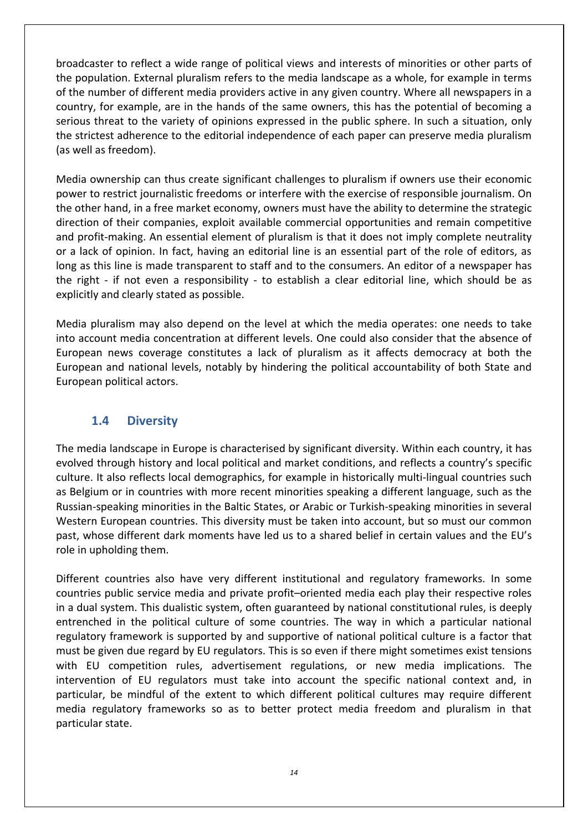broadcaster to reflect a wide range of political views and interests of minorities or other parts of the population. External pluralism refers to the media landscape as a whole, for example in terms of the number of different media providers active in any given country. Where all newspapers in a country, for example, are in the hands of the same owners, this has the potential of becoming a serious threat to the variety of opinions expressed in the public sphere. In such a situation, only the strictest adherence to the editorial independence of each paper can preserve media pluralism (as well as freedom).

Media ownership can thus create significant challenges to pluralism if owners use their economic power to restrict journalistic freedoms or interfere with the exercise of responsible journalism. On the other hand, in a free market economy, owners must have the ability to determine the strategic direction of their companies, exploit available commercial opportunities and remain competitive and profit-making. An essential element of pluralism is that it does not imply complete neutrality or a lack of opinion. In fact, having an editorial line is an essential part of the role of editors, as long as this line is made transparent to staff and to the consumers. An editor of a newspaper has the right - if not even a responsibility - to establish a clear editorial line, which should be as explicitly and clearly stated as possible.

Media pluralism may also depend on the level at which the media operates: one needs to take into account media concentration at different levels. One could also consider that the absence of European news coverage constitutes a lack of pluralism as it affects democracy at both the European and national levels, notably by hindering the political accountability of both State and European political actors.

#### **1.4 Diversity**

The media landscape in Europe is characterised by significant diversity. Within each country, it has evolved through history and local political and market conditions, and reflects a country's specific culture. It also reflects local demographics, for example in historically multi-lingual countries such as Belgium or in countries with more recent minorities speaking a different language, such as the Russian-speaking minorities in the Baltic States, or Arabic or Turkish-speaking minorities in several Western European countries. This diversity must be taken into account, but so must our common past, whose different dark moments have led us to a shared belief in certain values and the EU's role in upholding them.

Different countries also have very different institutional and regulatory frameworks. In some countries public service media and private profit–oriented media each play their respective roles in a dual system. This dualistic system, often guaranteed by national constitutional rules, is deeply entrenched in the political culture of some countries. The way in which a particular national regulatory framework is supported by and supportive of national political culture is a factor that must be given due regard by EU regulators. This is so even if there might sometimes exist tensions with EU competition rules, advertisement regulations, or new media implications. The intervention of EU regulators must take into account the specific national context and, in particular, be mindful of the extent to which different political cultures may require different media regulatory frameworks so as to better protect media freedom and pluralism in that particular state.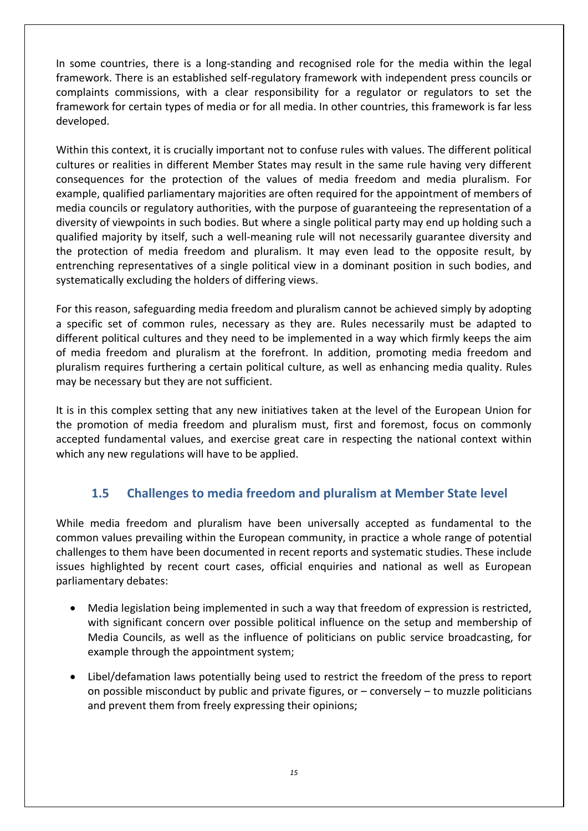In some countries, there is a long-standing and recognised role for the media within the legal framework. There is an established self-regulatory framework with independent press councils or complaints commissions, with a clear responsibility for a regulator or regulators to set the framework for certain types of media or for all media. In other countries, this framework is far less developed.

Within this context, it is crucially important not to confuse rules with values. The different political cultures or realities in different Member States may result in the same rule having very different consequences for the protection of the values of media freedom and media pluralism. For example, qualified parliamentary majorities are often required for the appointment of members of media councils or regulatory authorities, with the purpose of guaranteeing the representation of a diversity of viewpoints in such bodies. But where a single political party may end up holding such a qualified majority by itself, such a well-meaning rule will not necessarily guarantee diversity and the protection of media freedom and pluralism. It may even lead to the opposite result, by entrenching representatives of a single political view in a dominant position in such bodies, and systematically excluding the holders of differing views.

For this reason, safeguarding media freedom and pluralism cannot be achieved simply by adopting a specific set of common rules, necessary as they are. Rules necessarily must be adapted to different political cultures and they need to be implemented in a way which firmly keeps the aim of media freedom and pluralism at the forefront. In addition, promoting media freedom and pluralism requires furthering a certain political culture, as well as enhancing media quality. Rules may be necessary but they are not sufficient.

It is in this complex setting that any new initiatives taken at the level of the European Union for the promotion of media freedom and pluralism must, first and foremost, focus on commonly accepted fundamental values, and exercise great care in respecting the national context within which any new regulations will have to be applied.

### **1.5 Challenges to media freedom and pluralism at Member State level**

While media freedom and pluralism have been universally accepted as fundamental to the common values prevailing within the European community, in practice a whole range of potential challenges to them have been documented in recent reports and systematic studies. These include issues highlighted by recent court cases, official enquiries and national as well as European parliamentary debates:

- Media legislation being implemented in such a way that freedom of expression is restricted, with significant concern over possible political influence on the setup and membership of Media Councils, as well as the influence of politicians on public service broadcasting, for example through the appointment system;
- Libel/defamation laws potentially being used to restrict the freedom of the press to report on possible misconduct by public and private figures, or  $-$  conversely  $-$  to muzzle politicians and prevent them from freely expressing their opinions;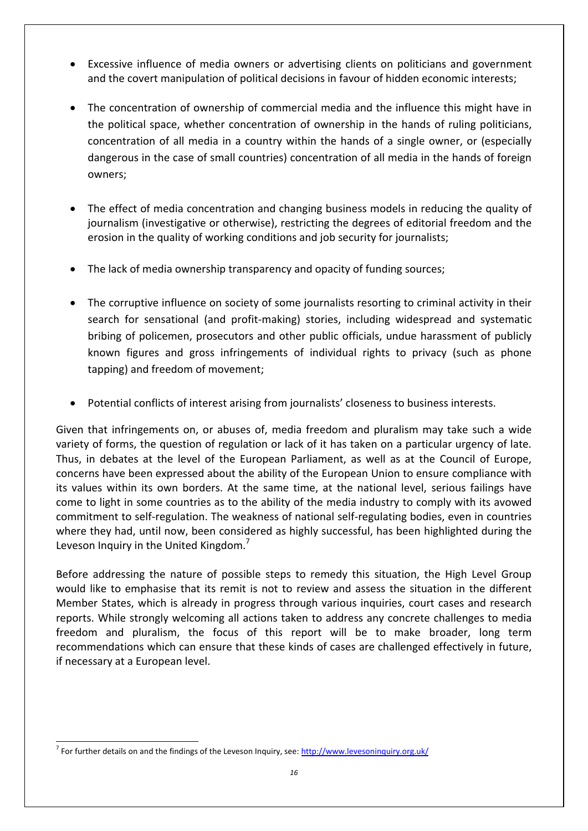- Excessive influence of media owners or advertising clients on politicians and government and the covert manipulation of political decisions in favour of hidden economic interests;
- The concentration of ownership of commercial media and the influence this might have in the political space, whether concentration of ownership in the hands of ruling politicians, concentration of all media in a country within the hands of a single owner, or (especially dangerous in the case of small countries) concentration of all media in the hands of foreign owners;
- The effect of media concentration and changing business models in reducing the quality of journalism (investigative or otherwise), restricting the degrees of editorial freedom and the erosion in the quality of working conditions and job security for journalists;
- The lack of media ownership transparency and opacity of funding sources;
- The corruptive influence on society of some journalists resorting to criminal activity in their search for sensational (and profit-making) stories, including widespread and systematic bribing of policemen, prosecutors and other public officials, undue harassment of publicly known figures and gross infringements of individual rights to privacy (such as phone tapping) and freedom of movement;
- Potential conflicts of interest arising from journalists' closeness to business interests.

Given that infringements on, or abuses of, media freedom and pluralism may take such a wide variety of forms, the question of regulation or lack of it has taken on a particular urgency of late. Thus, in debates at the level of the European Parliament, as well as at the Council of Europe, concerns have been expressed about the ability of the European Union to ensure compliance with its values within its own borders. At the same time, at the national level, serious failings have come to light in some countries as to the ability of the media industry to comply with its avowed commitment to self-regulation. The weakness of national self-regulating bodies, even in countries where they had, until now, been considered as highly successful, has been highlighted during the Leveson Inquiry in the United Kingdom.<sup>7</sup>

Before addressing the nature of possible steps to remedy this situation, the High Level Group would like to emphasise that its remit is not to review and assess the situation in the different Member States, which is already in progress through various inquiries, court cases and research reports. While strongly welcoming all actions taken to address any concrete challenges to media freedom and pluralism, the focus of this report will be to make broader, long term recommendations which can ensure that these kinds of cases are challenged effectively in future, if necessary at a European level.

 $\overline{a}$ <sup>7</sup> For further details on and the findings of the Leveson Inquiry, see: http://www.levesoninquiry.org.uk/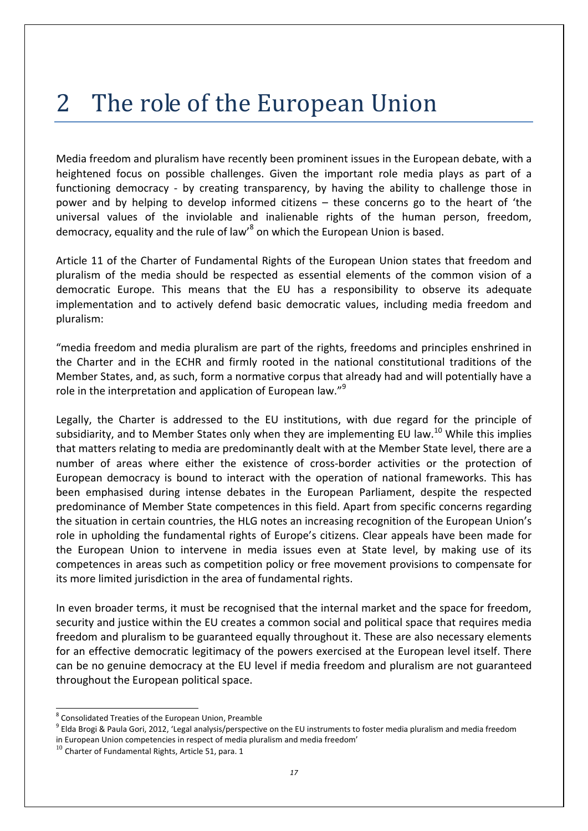# 2 The role of the European Union

Media freedom and pluralism have recently been prominent issues in the European debate, with a heightened focus on possible challenges. Given the important role media plays as part of a functioning democracy - by creating transparency, by having the ability to challenge those in power and by helping to develop informed citizens – these concerns go to the heart of 'the universal values of the inviolable and inalienable rights of the human person, freedom, democracy, equality and the rule of law'<sup>8</sup> on which the European Union is based.

Article 11 of the Charter of Fundamental Rights of the European Union states that freedom and pluralism of the media should be respected as essential elements of the common vision of a democratic Europe. This means that the EU has a responsibility to observe its adequate implementation and to actively defend basic democratic values, including media freedom and pluralism:

"media freedom and media pluralism are part of the rights, freedoms and principles enshrined in the Charter and in the ECHR and firmly rooted in the national constitutional traditions of the Member States, and, as such, form a normative corpus that already had and will potentially have a role in the interpretation and application of European law."<sup>9</sup>

Legally, the Charter is addressed to the EU institutions, with due regard for the principle of subsidiarity, and to Member States only when they are implementing EU law.<sup>10</sup> While this implies that matters relating to media are predominantly dealt with at the Member State level, there are a number of areas where either the existence of cross-border activities or the protection of European democracy is bound to interact with the operation of national frameworks. This has been emphasised during intense debates in the European Parliament, despite the respected predominance of Member State competences in this field. Apart from specific concerns regarding the situation in certain countries, the HLG notes an increasing recognition of the European Union's role in upholding the fundamental rights of Europe's citizens. Clear appeals have been made for the European Union to intervene in media issues even at State level, by making use of its competences in areas such as competition policy or free movement provisions to compensate for its more limited jurisdiction in the area of fundamental rights.

In even broader terms, it must be recognised that the internal market and the space for freedom, security and justice within the EU creates a common social and political space that requires media freedom and pluralism to be guaranteed equally throughout it. These are also necessary elements for an effective democratic legitimacy of the powers exercised at the European level itself. There can be no genuine democracy at the EU level if media freedom and pluralism are not guaranteed throughout the European political space.

 8 Consolidated Treaties of the European Union, Preamble

<sup>&</sup>lt;sup>9</sup> Elda Brogi & Paula Gori, 2012, 'Legal analysis/perspective on the EU instruments to foster media pluralism and media freedom in European Union competencies in respect of media pluralism and media freedom'

 $10$  Charter of Fundamental Rights, Article 51, para. 1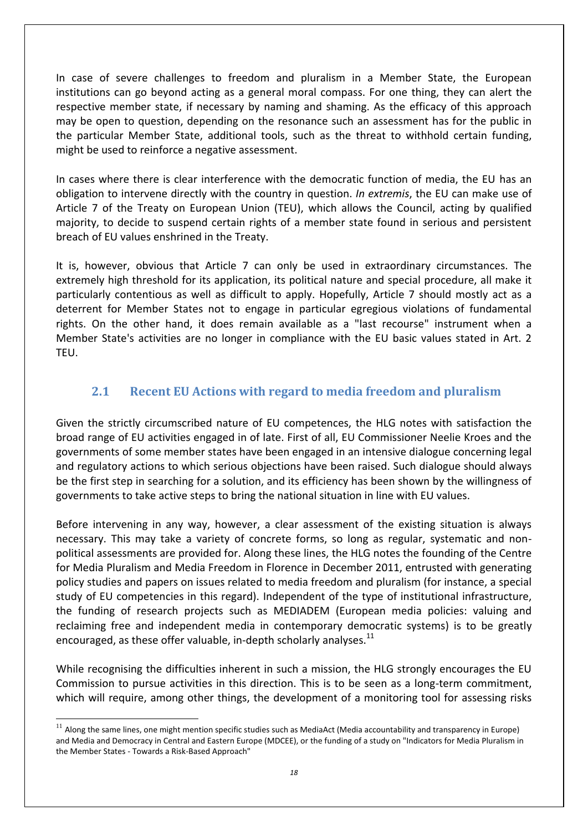In case of severe challenges to freedom and pluralism in a Member State, the European institutions can go beyond acting as a general moral compass. For one thing, they can alert the respective member state, if necessary by naming and shaming. As the efficacy of this approach may be open to question, depending on the resonance such an assessment has for the public in the particular Member State, additional tools, such as the threat to withhold certain funding, might be used to reinforce a negative assessment.

In cases where there is clear interference with the democratic function of media, the EU has an obligation to intervene directly with the country in question. *In extremis*, the EU can make use of Article 7 of the Treaty on European Union (TEU), which allows the Council, acting by qualified majority, to decide to suspend certain rights of a member state found in serious and persistent breach of EU values enshrined in the Treaty.

It is, however, obvious that Article 7 can only be used in extraordinary circumstances. The extremely high threshold for its application, its political nature and special procedure, all make it particularly contentious as well as difficult to apply. Hopefully, Article 7 should mostly act as a deterrent for Member States not to engage in particular egregious violations of fundamental rights. On the other hand, it does remain available as a "last recourse" instrument when a Member State's activities are no longer in compliance with the EU basic values stated in Art. 2 TEU.

### **2.1 Recent EU Actions with regard to media freedom and pluralism**

Given the strictly circumscribed nature of EU competences, the HLG notes with satisfaction the broad range of EU activities engaged in of late. First of all, EU Commissioner Neelie Kroes and the governments of some member states have been engaged in an intensive dialogue concerning legal and regulatory actions to which serious objections have been raised. Such dialogue should always be the first step in searching for a solution, and its efficiency has been shown by the willingness of governments to take active steps to bring the national situation in line with EU values.

Before intervening in any way, however, a clear assessment of the existing situation is always necessary. This may take a variety of concrete forms, so long as regular, systematic and nonpolitical assessments are provided for. Along these lines, the HLG notes the founding of the Centre for Media Pluralism and Media Freedom in Florence in December 2011, entrusted with generating policy studies and papers on issues related to media freedom and pluralism (for instance, a special study of EU competencies in this regard). Independent of the type of institutional infrastructure, the funding of research projects such as MEDIADEM (European media policies: valuing and reclaiming free and independent media in contemporary democratic systems) is to be greatly encouraged, as these offer valuable, in-depth scholarly analyses. $<sup>11</sup>$ </sup>

While recognising the difficulties inherent in such a mission, the HLG strongly encourages the EU Commission to pursue activities in this direction. This is to be seen as a long-term commitment, which will require, among other things, the development of a monitoring tool for assessing risks

 $11$  Along the same lines, one might mention specific studies such as MediaAct (Media accountability and transparency in Europe) and Media and Democracy in Central and Eastern Europe (MDCEE), or the funding of a study on "Indicators for Media Pluralism in the Member States - Towards a Risk-Based Approach"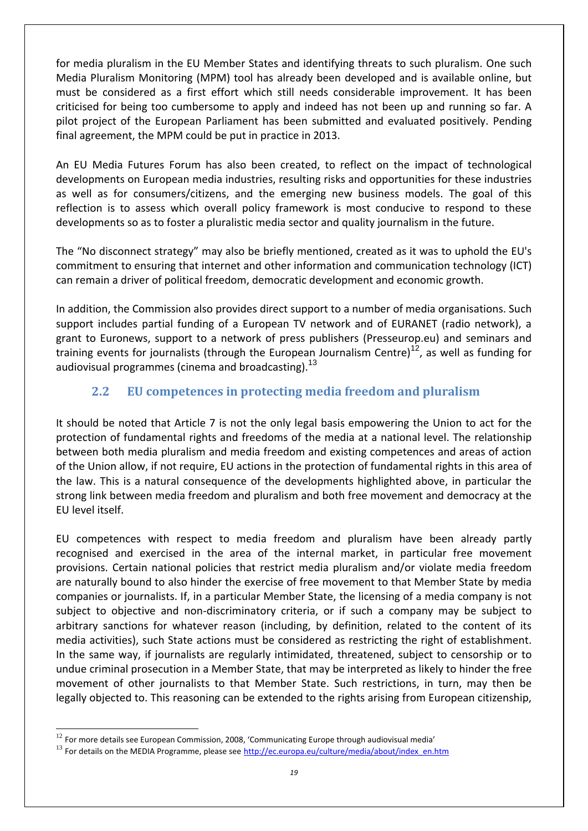for media pluralism in the EU Member States and identifying threats to such pluralism. One such Media Pluralism Monitoring (MPM) tool has already been developed and is available online, but must be considered as a first effort which still needs considerable improvement. It has been criticised for being too cumbersome to apply and indeed has not been up and running so far. A pilot project of the European Parliament has been submitted and evaluated positively. Pending final agreement, the MPM could be put in practice in 2013.

An EU Media Futures Forum has also been created, to reflect on the impact of technological developments on European media industries, resulting risks and opportunities for these industries as well as for consumers/citizens, and the emerging new business models. The goal of this reflection is to assess which overall policy framework is most conducive to respond to these developments so as to foster a pluralistic media sector and quality journalism in the future.

The "No disconnect strategy" may also be briefly mentioned, created as it was to uphold the EU's commitment to ensuring that internet and other information and communication technology (ICT) can remain a driver of political freedom, democratic development and economic growth.

In addition, the Commission also provides direct support to a number of media organisations. Such support includes partial funding of a European TV network and of EURANET (radio network), a grant to Euronews, support to a network of press publishers (Presseurop.eu) and seminars and training events for journalists (through the European Journalism Centre)<sup>12</sup>, as well as funding for audiovisual programmes (cinema and broadcasting).<sup>13</sup>

### **2.2 EU competences in protecting media freedom and pluralism**

It should be noted that Article 7 is not the only legal basis empowering the Union to act for the protection of fundamental rights and freedoms of the media at a national level. The relationship between both media pluralism and media freedom and existing competences and areas of action of the Union allow, if not require, EU actions in the protection of fundamental rights in this area of the law. This is a natural consequence of the developments highlighted above, in particular the strong link between media freedom and pluralism and both free movement and democracy at the EU level itself.

EU competences with respect to media freedom and pluralism have been already partly recognised and exercised in the area of the internal market, in particular free movement provisions. Certain national policies that restrict media pluralism and/or violate media freedom are naturally bound to also hinder the exercise of free movement to that Member State by media companies or journalists. If, in a particular Member State, the licensing of a media company is not subject to objective and non-discriminatory criteria, or if such a company may be subject to arbitrary sanctions for whatever reason (including, by definition, related to the content of its media activities), such State actions must be considered as restricting the right of establishment. In the same way, if journalists are regularly intimidated, threatened, subject to censorship or to undue criminal prosecution in a Member State, that may be interpreted as likely to hinder the free movement of other journalists to that Member State. Such restrictions, in turn, may then be legally objected to. This reasoning can be extended to the rights arising from European citizenship,

 $12$  For more details see European Commission, 2008, 'Communicating Europe through audiovisual media'

<sup>&</sup>lt;sup>13</sup> For details on the MEDIA Programme, please see [http://ec.europa.eu/culture/media/about/index\\_en.htm](http://ec.europa.eu/culture/media/about/index_en.htm)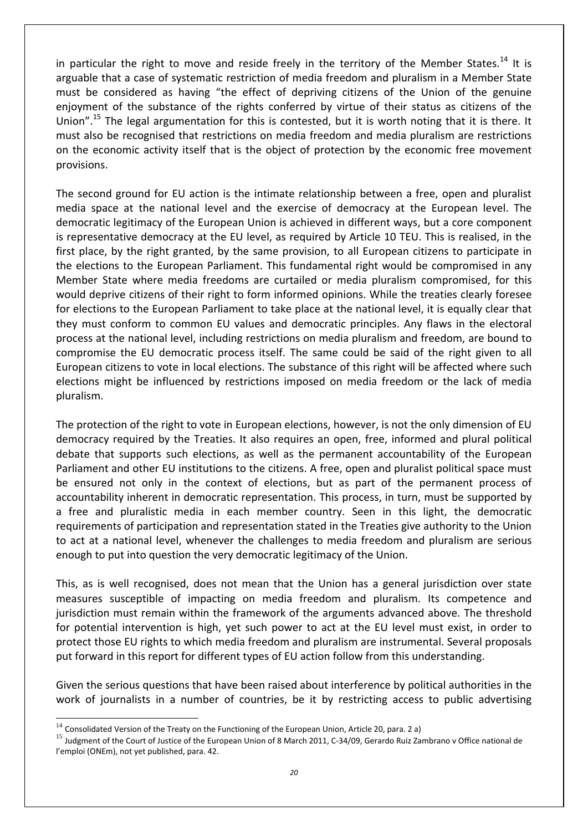in particular the right to move and reside freely in the territory of the Member States.<sup>14</sup> It is arguable that a case of systematic restriction of media freedom and pluralism in a Member State must be considered as having "the effect of depriving citizens of the Union of the genuine enjoyment of the substance of the rights conferred by virtue of their status as citizens of the Union".<sup>15</sup> The legal argumentation for this is contested, but it is worth noting that it is there. It must also be recognised that restrictions on media freedom and media pluralism are restrictions on the economic activity itself that is the object of protection by the economic free movement provisions.

The second ground for EU action is the intimate relationship between a free, open and pluralist media space at the national level and the exercise of democracy at the European level. The democratic legitimacy of the European Union is achieved in different ways, but a core component is representative democracy at the EU level, as required by Article 10 TEU. This is realised, in the first place, by the right granted, by the same provision, to all European citizens to participate in the elections to the European Parliament. This fundamental right would be compromised in any Member State where media freedoms are curtailed or media pluralism compromised, for this would deprive citizens of their right to form informed opinions. While the treaties clearly foresee for elections to the European Parliament to take place at the national level, it is equally clear that they must conform to common EU values and democratic principles. Any flaws in the electoral process at the national level, including restrictions on media pluralism and freedom, are bound to compromise the EU democratic process itself. The same could be said of the right given to all European citizens to vote in local elections. The substance of this right will be affected where such elections might be influenced by restrictions imposed on media freedom or the lack of media pluralism.

The protection of the right to vote in European elections, however, is not the only dimension of EU democracy required by the Treaties. It also requires an open, free, informed and plural political debate that supports such elections, as well as the permanent accountability of the European Parliament and other EU institutions to the citizens. A free, open and pluralist political space must be ensured not only in the context of elections, but as part of the permanent process of accountability inherent in democratic representation. This process, in turn, must be supported by a free and pluralistic media in each member country. Seen in this light, the democratic requirements of participation and representation stated in the Treaties give authority to the Union to act at a national level, whenever the challenges to media freedom and pluralism are serious enough to put into question the very democratic legitimacy of the Union.

This, as is well recognised, does not mean that the Union has a general jurisdiction over state measures susceptible of impacting on media freedom and pluralism. Its competence and jurisdiction must remain within the framework of the arguments advanced above. The threshold for potential intervention is high, yet such power to act at the EU level must exist, in order to protect those EU rights to which media freedom and pluralism are instrumental. Several proposals put forward in this report for different types of EU action follow from this understanding.

Given the serious questions that have been raised about interference by political authorities in the work of journalists in a number of countries, be it by restricting access to public advertising

 $14$  Consolidated Version of the Treaty on the Functioning of the European Union, Article 20, para. 2 a)

<sup>&</sup>lt;sup>15</sup> Judgment of the Court of Justice of the European Union of 8 March 2011, C-34/09, Gerardo Ruiz Zambrano v Office national de l'emploi (ONEm), not yet published, para. 42.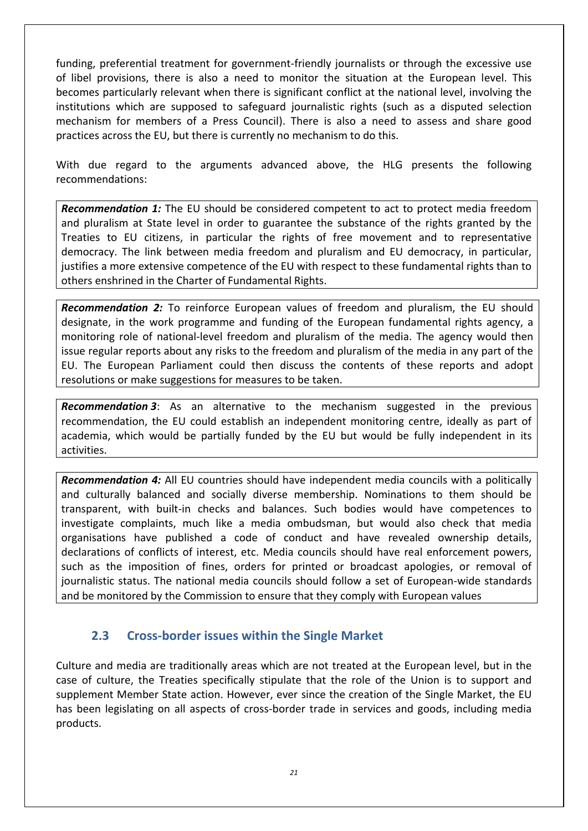funding, preferential treatment for government-friendly journalists or through the excessive use of libel provisions, there is also a need to monitor the situation at the European level. This becomes particularly relevant when there is significant conflict at the national level, involving the institutions which are supposed to safeguard journalistic rights (such as a disputed selection mechanism for members of a Press Council). There is also a need to assess and share good practices across the EU, but there is currently no mechanism to do this.

With due regard to the arguments advanced above, the HLG presents the following recommendations:

*Recommendation 1:* The EU should be considered competent to act to protect media freedom and pluralism at State level in order to guarantee the substance of the rights granted by the Treaties to EU citizens, in particular the rights of free movement and to representative democracy. The link between media freedom and pluralism and EU democracy, in particular, justifies a more extensive competence of the EU with respect to these fundamental rights than to others enshrined in the Charter of Fundamental Rights.

*Recommendation 2:* To reinforce European values of freedom and pluralism, the EU should designate, in the work programme and funding of the European fundamental rights agency, a monitoring role of national-level freedom and pluralism of the media. The agency would then issue regular reports about any risks to the freedom and pluralism of the media in any part of the EU. The European Parliament could then discuss the contents of these reports and adopt resolutions or make suggestions for measures to be taken.

*Recommendation 3*: As an alternative to the mechanism suggested in the previous recommendation, the EU could establish an independent monitoring centre, ideally as part of academia, which would be partially funded by the EU but would be fully independent in its activities.

*Recommendation 4:* All EU countries should have independent media councils with a politically and culturally balanced and socially diverse membership. Nominations to them should be transparent, with built-in checks and balances. Such bodies would have competences to investigate complaints, much like a media ombudsman, but would also check that media organisations have published a code of conduct and have revealed ownership details, declarations of conflicts of interest, etc. Media councils should have real enforcement powers, such as the imposition of fines, orders for printed or broadcast apologies, or removal of journalistic status. The national media councils should follow a set of European-wide standards and be monitored by the Commission to ensure that they comply with European values

#### **2.3 Cross-border issues within the Single Market**

Culture and media are traditionally areas which are not treated at the European level, but in the case of culture, the Treaties specifically stipulate that the role of the Union is to support and supplement Member State action. However, ever since the creation of the Single Market, the EU has been legislating on all aspects of cross-border trade in services and goods, including media products.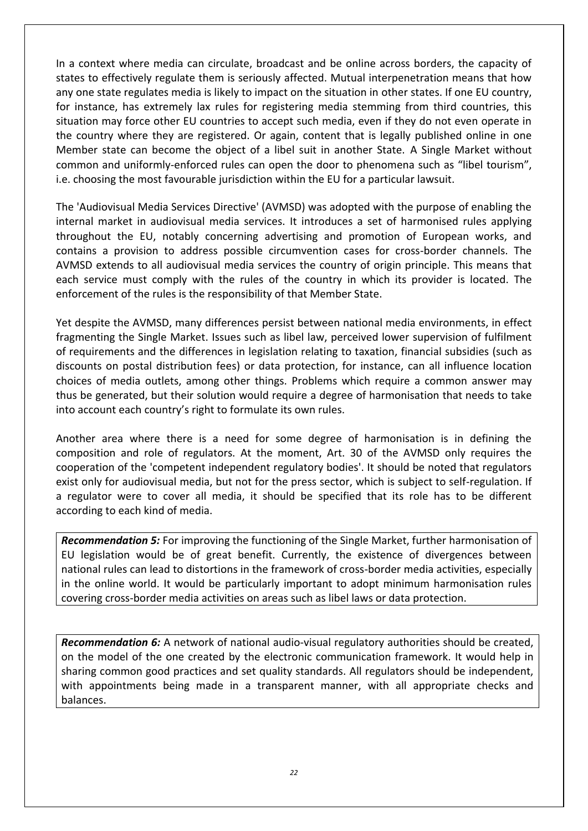In a context where media can circulate, broadcast and be online across borders, the capacity of states to effectively regulate them is seriously affected. Mutual interpenetration means that how any one state regulates media is likely to impact on the situation in other states. If one EU country, for instance, has extremely lax rules for registering media stemming from third countries, this situation may force other EU countries to accept such media, even if they do not even operate in the country where they are registered. Or again, content that is legally published online in one Member state can become the object of a libel suit in another State. A Single Market without common and uniformly-enforced rules can open the door to phenomena such as "libel tourism", i.e. choosing the most favourable jurisdiction within the EU for a particular lawsuit.

The 'Audiovisual Media Services Directive' (AVMSD) was adopted with the purpose of enabling the internal market in audiovisual media services. It introduces a set of harmonised rules applying throughout the EU, notably concerning advertising and promotion of European works, and contains a provision to address possible circumvention cases for cross-border channels. The AVMSD extends to all audiovisual media services the country of origin principle. This means that each service must comply with the rules of the country in which its provider is located. The enforcement of the rules is the responsibility of that Member State.

Yet despite the AVMSD, many differences persist between national media environments, in effect fragmenting the Single Market. Issues such as libel law, perceived lower supervision of fulfilment of requirements and the differences in legislation relating to taxation, financial subsidies (such as discounts on postal distribution fees) or data protection, for instance, can all influence location choices of media outlets, among other things. Problems which require a common answer may thus be generated, but their solution would require a degree of harmonisation that needs to take into account each country's right to formulate its own rules.

Another area where there is a need for some degree of harmonisation is in defining the composition and role of regulators. At the moment, Art. 30 of the AVMSD only requires the cooperation of the 'competent independent regulatory bodies'. It should be noted that regulators exist only for audiovisual media, but not for the press sector, which is subject to self-regulation. If a regulator were to cover all media, it should be specified that its role has to be different according to each kind of media.

*Recommendation 5:* For improving the functioning of the Single Market, further harmonisation of EU legislation would be of great benefit. Currently, the existence of divergences between national rules can lead to distortions in the framework of cross-border media activities, especially in the online world. It would be particularly important to adopt minimum harmonisation rules covering cross-border media activities on areas such as libel laws or data protection.

*Recommendation 6:* A network of national audio-visual regulatory authorities should be created, on the model of the one created by the electronic communication framework. It would help in sharing common good practices and set quality standards. All regulators should be independent, with appointments being made in a transparent manner, with all appropriate checks and balances.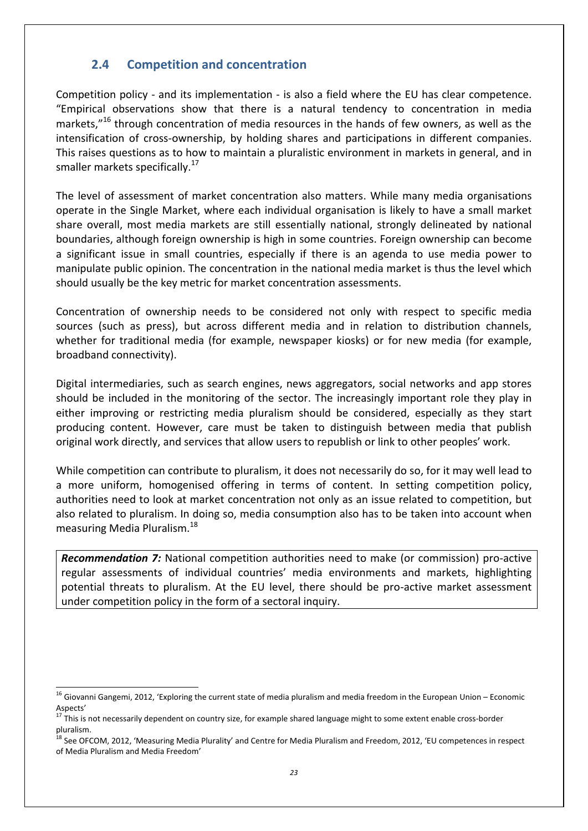#### **2.4 Competition and concentration**

Competition policy - and its implementation - is also a field where the EU has clear competence. "Empirical observations show that there is a natural tendency to concentration in media markets,"<sup>16</sup> through concentration of media resources in the hands of few owners, as well as the intensification of cross-ownership, by holding shares and participations in different companies. This raises questions as to how to maintain a pluralistic environment in markets in general, and in smaller markets specifically.<sup>17</sup>

The level of assessment of market concentration also matters. While many media organisations operate in the Single Market, where each individual organisation is likely to have a small market share overall, most media markets are still essentially national, strongly delineated by national boundaries, although foreign ownership is high in some countries. Foreign ownership can become a significant issue in small countries, especially if there is an agenda to use media power to manipulate public opinion. The concentration in the national media market is thus the level which should usually be the key metric for market concentration assessments.

Concentration of ownership needs to be considered not only with respect to specific media sources (such as press), but across different media and in relation to distribution channels, whether for traditional media (for example, newspaper kiosks) or for new media (for example, broadband connectivity).

Digital intermediaries, such as search engines, news aggregators, social networks and app stores should be included in the monitoring of the sector. The increasingly important role they play in either improving or restricting media pluralism should be considered, especially as they start producing content. However, care must be taken to distinguish between media that publish original work directly, and services that allow users to republish or link to other peoples' work.

While competition can contribute to pluralism, it does not necessarily do so, for it may well lead to a more uniform, homogenised offering in terms of content. In setting competition policy, authorities need to look at market concentration not only as an issue related to competition, but also related to pluralism. In doing so, media consumption also has to be taken into account when measuring Media Pluralism.<sup>18</sup>

*Recommendation 7:* National competition authorities need to make (or commission) pro-active regular assessments of individual countries' media environments and markets, highlighting potential threats to pluralism. At the EU level, there should be pro-active market assessment under competition policy in the form of a sectoral inquiry.

 $16$  Giovanni Gangemi, 2012, 'Exploring the current state of media pluralism and media freedom in the European Union – Economic Aspects'

 $17$  This is not necessarily dependent on country size, for example shared language might to some extent enable cross-border pluralism.

<sup>&</sup>lt;sup>18</sup> See OFCOM, 2012, 'Measuring Media Plurality' and Centre for Media Pluralism and Freedom, 2012, 'EU competences in respect of Media Pluralism and Media Freedom'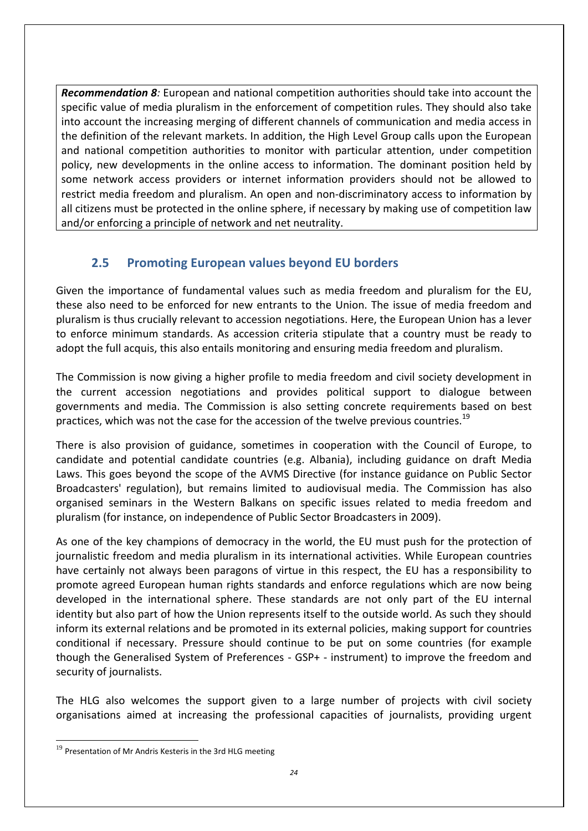*Recommendation 8:* European and national competition authorities should take into account the specific value of media pluralism in the enforcement of competition rules. They should also take into account the increasing merging of different channels of communication and media access in the definition of the relevant markets. In addition, the High Level Group calls upon the European and national competition authorities to monitor with particular attention, under competition policy, new developments in the online access to information. The dominant position held by some network access providers or internet information providers should not be allowed to restrict media freedom and pluralism. An open and non-discriminatory access to information by all citizens must be protected in the online sphere, if necessary by making use of competition law and/or enforcing a principle of network and net neutrality.

### **2.5 Promoting European values beyond EU borders**

Given the importance of fundamental values such as media freedom and pluralism for the EU, these also need to be enforced for new entrants to the Union. The issue of media freedom and pluralism is thus crucially relevant to accession negotiations. Here, the European Union has a lever to enforce minimum standards. As accession criteria stipulate that a country must be ready to adopt the full acquis, this also entails monitoring and ensuring media freedom and pluralism.

The Commission is now giving a higher profile to media freedom and civil society development in the current accession negotiations and provides political support to dialogue between governments and media. The Commission is also setting concrete requirements based on best practices, which was not the case for the accession of the twelve previous countries.<sup>19</sup>

There is also provision of guidance, sometimes in cooperation with the Council of Europe, to candidate and potential candidate countries (e.g. Albania), including guidance on draft Media Laws. This goes beyond the scope of the AVMS Directive (for instance guidance on Public Sector Broadcasters' regulation), but remains limited to audiovisual media. The Commission has also organised seminars in the Western Balkans on specific issues related to media freedom and pluralism (for instance, on independence of Public Sector Broadcasters in 2009).

As one of the key champions of democracy in the world, the EU must push for the protection of journalistic freedom and media pluralism in its international activities. While European countries have certainly not always been paragons of virtue in this respect, the EU has a responsibility to promote agreed European human rights standards and enforce regulations which are now being developed in the international sphere. These standards are not only part of the EU internal identity but also part of how the Union represents itself to the outside world. As such they should inform its external relations and be promoted in its external policies, making support for countries conditional if necessary. Pressure should continue to be put on some countries (for example though the Generalised System of Preferences - GSP+ - instrument) to improve the freedom and security of journalists.

The HLG also welcomes the support given to a large number of projects with civil society organisations aimed at increasing the professional capacities of journalists, providing urgent

 $^{19}$  Presentation of Mr Andris Kesteris in the 3rd HLG meeting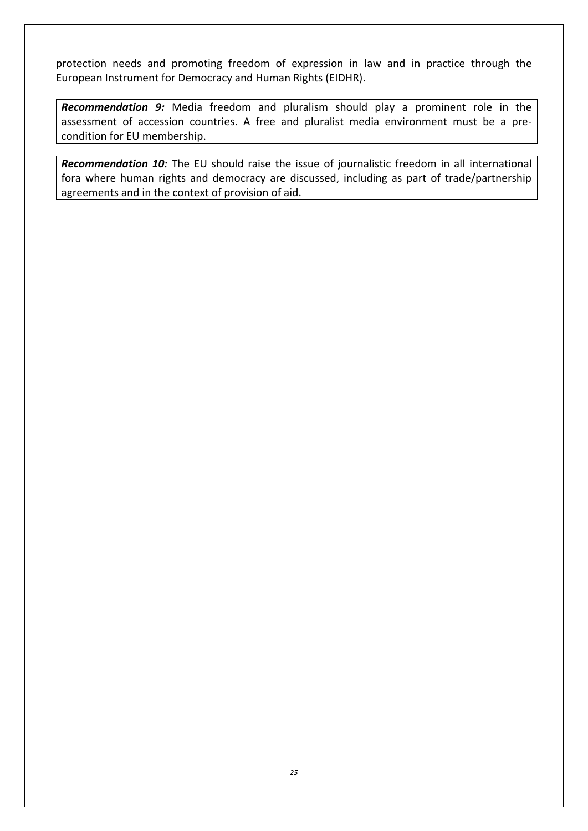protection needs and promoting freedom of expression in law and in practice through the European Instrument for Democracy and Human Rights (EIDHR).

*Recommendation 9:* Media freedom and pluralism should play a prominent role in the assessment of accession countries. A free and pluralist media environment must be a precondition for EU membership.

*Recommendation 10:* The EU should raise the issue of journalistic freedom in all international fora where human rights and democracy are discussed, including as part of trade/partnership agreements and in the context of provision of aid.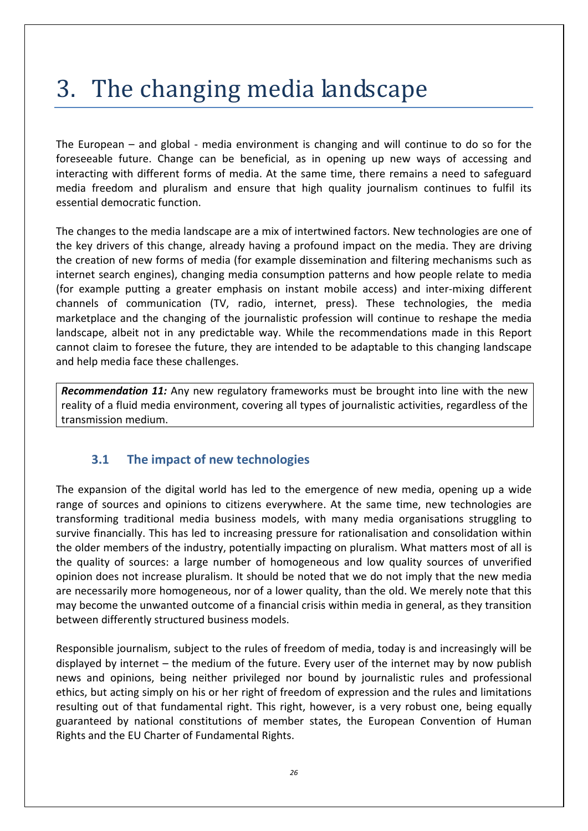# 3. The changing media landscape

The European – and global - media environment is changing and will continue to do so for the foreseeable future. Change can be beneficial, as in opening up new ways of accessing and interacting with different forms of media. At the same time, there remains a need to safeguard media freedom and pluralism and ensure that high quality journalism continues to fulfil its essential democratic function.

The changes to the media landscape are a mix of intertwined factors. New technologies are one of the key drivers of this change, already having a profound impact on the media. They are driving the creation of new forms of media (for example dissemination and filtering mechanisms such as internet search engines), changing media consumption patterns and how people relate to media (for example putting a greater emphasis on instant mobile access) and inter-mixing different channels of communication (TV, radio, internet, press). These technologies, the media marketplace and the changing of the journalistic profession will continue to reshape the media landscape, albeit not in any predictable way. While the recommendations made in this Report cannot claim to foresee the future, they are intended to be adaptable to this changing landscape and help media face these challenges.

*Recommendation 11:* Any new regulatory frameworks must be brought into line with the new reality of a fluid media environment, covering all types of journalistic activities, regardless of the transmission medium.

### **3.1 The impact of new technologies**

The expansion of the digital world has led to the emergence of new media, opening up a wide range of sources and opinions to citizens everywhere. At the same time, new technologies are transforming traditional media business models, with many media organisations struggling to survive financially. This has led to increasing pressure for rationalisation and consolidation within the older members of the industry, potentially impacting on pluralism. What matters most of all is the quality of sources: a large number of homogeneous and low quality sources of unverified opinion does not increase pluralism. It should be noted that we do not imply that the new media are necessarily more homogeneous, nor of a lower quality, than the old. We merely note that this may become the unwanted outcome of a financial crisis within media in general, as they transition between differently structured business models.

Responsible journalism, subject to the rules of freedom of media, today is and increasingly will be displayed by internet – the medium of the future. Every user of the internet may by now publish news and opinions, being neither privileged nor bound by journalistic rules and professional ethics, but acting simply on his or her right of freedom of expression and the rules and limitations resulting out of that fundamental right. This right, however, is a very robust one, being equally guaranteed by national constitutions of member states, the European Convention of Human Rights and the EU Charter of Fundamental Rights.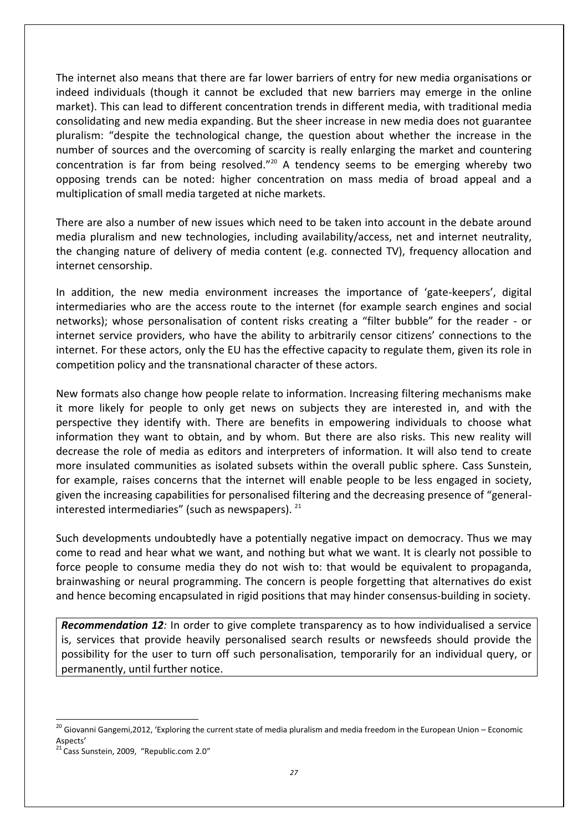The internet also means that there are far lower barriers of entry for new media organisations or indeed individuals (though it cannot be excluded that new barriers may emerge in the online market). This can lead to different concentration trends in different media, with traditional media consolidating and new media expanding. But the sheer increase in new media does not guarantee pluralism: "despite the technological change, the question about whether the increase in the number of sources and the overcoming of scarcity is really enlarging the market and countering concentration is far from being resolved."<sup>20</sup> A tendency seems to be emerging whereby two opposing trends can be noted: higher concentration on mass media of broad appeal and a multiplication of small media targeted at niche markets.

There are also a number of new issues which need to be taken into account in the debate around media pluralism and new technologies, including availability/access, net and internet neutrality, the changing nature of delivery of media content (e.g. connected TV), frequency allocation and internet censorship.

In addition, the new media environment increases the importance of 'gate-keepers', digital intermediaries who are the access route to the internet (for example search engines and social networks); whose personalisation of content risks creating a "filter bubble" for the reader - or internet service providers, who have the ability to arbitrarily censor citizens' connections to the internet. For these actors, only the EU has the effective capacity to regulate them, given its role in competition policy and the transnational character of these actors.

New formats also change how people relate to information. Increasing filtering mechanisms make it more likely for people to only get news on subjects they are interested in, and with the perspective they identify with. There are benefits in empowering individuals to choose what information they want to obtain, and by whom. But there are also risks. This new reality will decrease the role of media as editors and interpreters of information. It will also tend to create more insulated communities as isolated subsets within the overall public sphere. Cass Sunstein, for example, raises concerns that the internet will enable people to be less engaged in society, given the increasing capabilities for personalised filtering and the decreasing presence of "generalinterested intermediaries" (such as newspapers).  $21$ 

Such developments undoubtedly have a potentially negative impact on democracy. Thus we may come to read and hear what we want, and nothing but what we want. It is clearly not possible to force people to consume media they do not wish to: that would be equivalent to propaganda, brainwashing or neural programming. The concern is people forgetting that alternatives do exist and hence becoming encapsulated in rigid positions that may hinder consensus-building in society.

*Recommendation 12:* In order to give complete transparency as to how individualised a service is, services that provide heavily personalised search results or newsfeeds should provide the possibility for the user to turn off such personalisation, temporarily for an individual query, or permanently, until further notice.

 $^{20}$  Giovanni Gangemi,2012, 'Exploring the current state of media pluralism and media freedom in the European Union – Economic Aspects'

<sup>&</sup>lt;sup>21</sup> Cass Sunstein, 2009, "Republic.com 2.0"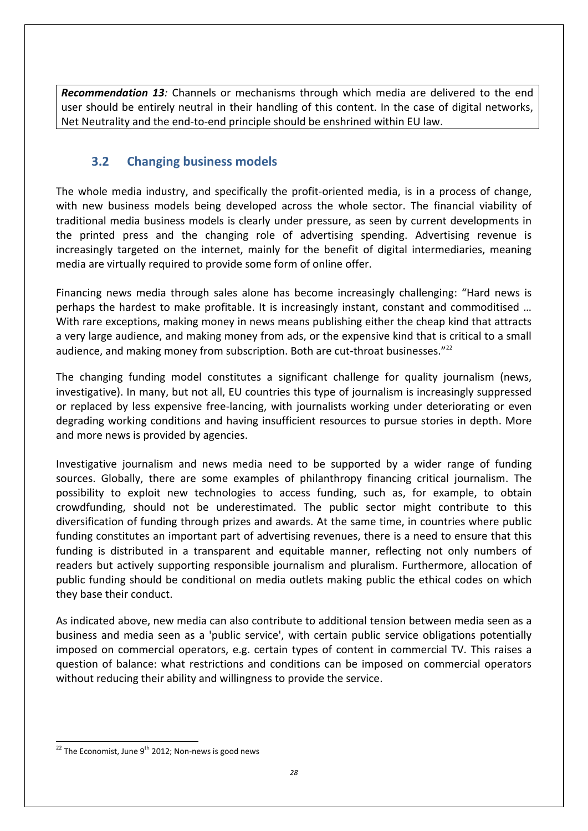*Recommendation 13:* Channels or mechanisms through which media are delivered to the end user should be entirely neutral in their handling of this content. In the case of digital networks, Net Neutrality and the end-to-end principle should be enshrined within EU law.

#### **3.2 Changing business models**

The whole media industry, and specifically the profit-oriented media, is in a process of change, with new business models being developed across the whole sector. The financial viability of traditional media business models is clearly under pressure, as seen by current developments in the printed press and the changing role of advertising spending. Advertising revenue is increasingly targeted on the internet, mainly for the benefit of digital intermediaries, meaning media are virtually required to provide some form of online offer.

Financing news media through sales alone has become increasingly challenging: "Hard news is perhaps the hardest to make profitable. It is increasingly instant, constant and commoditised … With rare exceptions, making money in news means publishing either the cheap kind that attracts a very large audience, and making money from ads, or the expensive kind that is critical to a small audience, and making money from subscription. Both are cut-throat businesses."<sup>22</sup>

The changing funding model constitutes a significant challenge for quality journalism (news, investigative). In many, but not all, EU countries this type of journalism is increasingly suppressed or replaced by less expensive free-lancing, with journalists working under deteriorating or even degrading working conditions and having insufficient resources to pursue stories in depth. More and more news is provided by agencies.

Investigative journalism and news media need to be supported by a wider range of funding sources. Globally, there are some examples of philanthropy financing critical journalism. The possibility to exploit new technologies to access funding, such as, for example, to obtain crowdfunding, should not be underestimated. The public sector might contribute to this diversification of funding through prizes and awards. At the same time, in countries where public funding constitutes an important part of advertising revenues, there is a need to ensure that this funding is distributed in a transparent and equitable manner, reflecting not only numbers of readers but actively supporting responsible journalism and pluralism. Furthermore, allocation of public funding should be conditional on media outlets making public the ethical codes on which they base their conduct.

As indicated above, new media can also contribute to additional tension between media seen as a business and media seen as a 'public service', with certain public service obligations potentially imposed on commercial operators, e.g. certain types of content in commercial TV. This raises a question of balance: what restrictions and conditions can be imposed on commercial operators without reducing their ability and willingness to provide the service.

 $\overline{a}$  $^{22}$  The Economist, June 9<sup>th</sup> 2012; Non-news is good news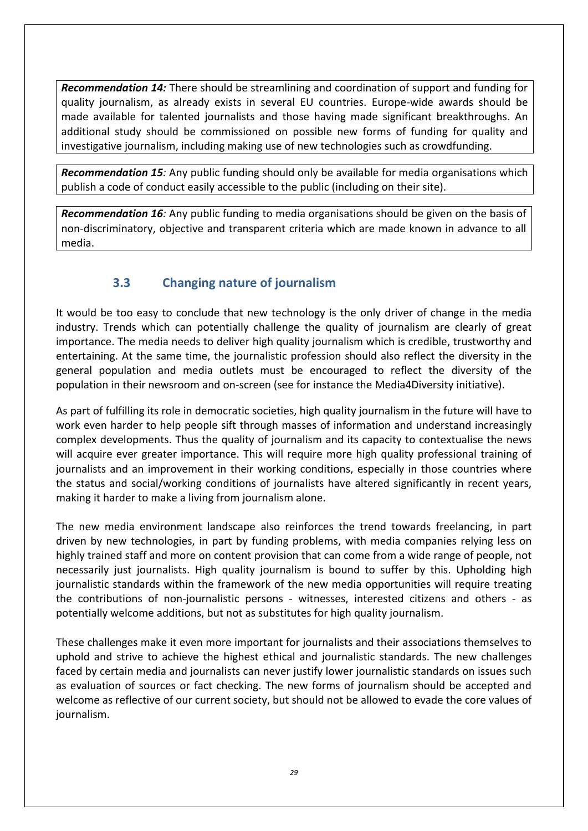*Recommendation 14:* There should be streamlining and coordination of support and funding for quality journalism, as already exists in several EU countries. Europe-wide awards should be made available for talented journalists and those having made significant breakthroughs. An additional study should be commissioned on possible new forms of funding for quality and investigative journalism, including making use of new technologies such as crowdfunding.

*Recommendation 15:* Any public funding should only be available for media organisations which publish a code of conduct easily accessible to the public (including on their site).

*Recommendation 16:* Any public funding to media organisations should be given on the basis of non-discriminatory, objective and transparent criteria which are made known in advance to all media.

### **3.3 Changing nature of journalism**

It would be too easy to conclude that new technology is the only driver of change in the media industry. Trends which can potentially challenge the quality of journalism are clearly of great importance. The media needs to deliver high quality journalism which is credible, trustworthy and entertaining. At the same time, the journalistic profession should also reflect the diversity in the general population and media outlets must be encouraged to reflect the diversity of the population in their newsroom and on-screen (see for instance the Media4Diversity initiative).

As part of fulfilling its role in democratic societies, high quality journalism in the future will have to work even harder to help people sift through masses of information and understand increasingly complex developments. Thus the quality of journalism and its capacity to contextualise the news will acquire ever greater importance. This will require more high quality professional training of journalists and an improvement in their working conditions, especially in those countries where the status and social/working conditions of journalists have altered significantly in recent years, making it harder to make a living from journalism alone.

The new media environment landscape also reinforces the trend towards freelancing, in part driven by new technologies, in part by funding problems, with media companies relying less on highly trained staff and more on content provision that can come from a wide range of people, not necessarily just journalists. High quality journalism is bound to suffer by this. Upholding high journalistic standards within the framework of the new media opportunities will require treating the contributions of non-journalistic persons - witnesses, interested citizens and others - as potentially welcome additions, but not as substitutes for high quality journalism.

These challenges make it even more important for journalists and their associations themselves to uphold and strive to achieve the highest ethical and journalistic standards. The new challenges faced by certain media and journalists can never justify lower journalistic standards on issues such as evaluation of sources or fact checking. The new forms of journalism should be accepted and welcome as reflective of our current society, but should not be allowed to evade the core values of journalism.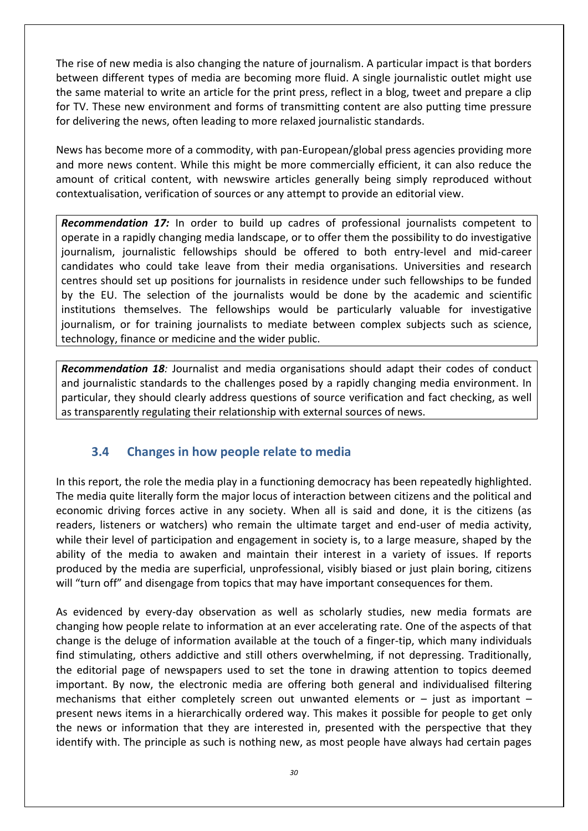The rise of new media is also changing the nature of journalism. A particular impact is that borders between different types of media are becoming more fluid. A single journalistic outlet might use the same material to write an article for the print press, reflect in a blog, tweet and prepare a clip for TV. These new environment and forms of transmitting content are also putting time pressure for delivering the news, often leading to more relaxed journalistic standards.

News has become more of a commodity, with pan-European/global press agencies providing more and more news content. While this might be more commercially efficient, it can also reduce the amount of critical content, with newswire articles generally being simply reproduced without contextualisation, verification of sources or any attempt to provide an editorial view.

*Recommendation 17:* In order to build up cadres of professional journalists competent to operate in a rapidly changing media landscape, or to offer them the possibility to do investigative journalism, journalistic fellowships should be offered to both entry-level and mid-career candidates who could take leave from their media organisations. Universities and research centres should set up positions for journalists in residence under such fellowships to be funded by the EU. The selection of the journalists would be done by the academic and scientific institutions themselves. The fellowships would be particularly valuable for investigative journalism, or for training journalists to mediate between complex subjects such as science, technology, finance or medicine and the wider public.

*Recommendation 18:* Journalist and media organisations should adapt their codes of conduct and journalistic standards to the challenges posed by a rapidly changing media environment. In particular, they should clearly address questions of source verification and fact checking, as well as transparently regulating their relationship with external sources of news.

#### **3.4 Changes in how people relate to media**

In this report, the role the media play in a functioning democracy has been repeatedly highlighted. The media quite literally form the major locus of interaction between citizens and the political and economic driving forces active in any society. When all is said and done, it is the citizens (as readers, listeners or watchers) who remain the ultimate target and end-user of media activity, while their level of participation and engagement in society is, to a large measure, shaped by the ability of the media to awaken and maintain their interest in a variety of issues. If reports produced by the media are superficial, unprofessional, visibly biased or just plain boring, citizens will "turn off" and disengage from topics that may have important consequences for them.

As evidenced by every-day observation as well as scholarly studies, new media formats are changing how people relate to information at an ever accelerating rate. One of the aspects of that change is the deluge of information available at the touch of a finger-tip, which many individuals find stimulating, others addictive and still others overwhelming, if not depressing. Traditionally, the editorial page of newspapers used to set the tone in drawing attention to topics deemed important. By now, the electronic media are offering both general and individualised filtering mechanisms that either completely screen out unwanted elements or  $-$  just as important  $$ present news items in a hierarchically ordered way. This makes it possible for people to get only the news or information that they are interested in, presented with the perspective that they identify with. The principle as such is nothing new, as most people have always had certain pages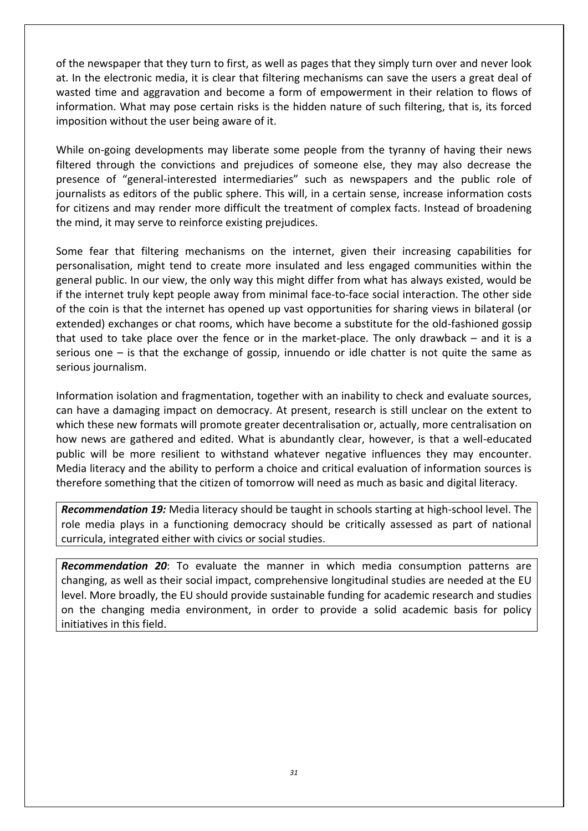of the newspaper that they turn to first, as well as pages that they simply turn over and never look at. In the electronic media, it is clear that filtering mechanisms can save the users a great deal of wasted time and aggravation and become a form of empowerment in their relation to flows of information. What may pose certain risks is the hidden nature of such filtering, that is, its forced imposition without the user being aware of it.

While on-going developments may liberate some people from the tyranny of having their news filtered through the convictions and prejudices of someone else, they may also decrease the presence of "general-interested intermediaries" such as newspapers and the public role of journalists as editors of the public sphere. This will, in a certain sense, increase information costs for citizens and may render more difficult the treatment of complex facts. Instead of broadening the mind, it may serve to reinforce existing prejudices.

Some fear that filtering mechanisms on the internet, given their increasing capabilities for personalisation, might tend to create more insulated and less engaged communities within the general public. In our view, the only way this might differ from what has always existed, would be if the internet truly kept people away from minimal face-to-face social interaction. The other side of the coin is that the internet has opened up vast opportunities for sharing views in bilateral (or extended) exchanges or chat rooms, which have become a substitute for the old-fashioned gossip that used to take place over the fence or in the market-place. The only drawback – and it is a serious one  $-$  is that the exchange of gossip, innuendo or idle chatter is not quite the same as serious journalism.

Information isolation and fragmentation, together with an inability to check and evaluate sources, can have a damaging impact on democracy. At present, research is still unclear on the extent to which these new formats will promote greater decentralisation or, actually, more centralisation on how news are gathered and edited. What is abundantly clear, however, is that a well-educated public will be more resilient to withstand whatever negative influences they may encounter. Media literacy and the ability to perform a choice and critical evaluation of information sources is therefore something that the citizen of tomorrow will need as much as basic and digital literacy.

*Recommendation 19:* Media literacy should be taught in schools starting at high-school level. The role media plays in a functioning democracy should be critically assessed as part of national curricula, integrated either with civics or social studies.

*Recommendation 20*: To evaluate the manner in which media consumption patterns are changing, as well as their social impact, comprehensive longitudinal studies are needed at the EU level. More broadly, the EU should provide sustainable funding for academic research and studies on the changing media environment, in order to provide a solid academic basis for policy initiatives in this field.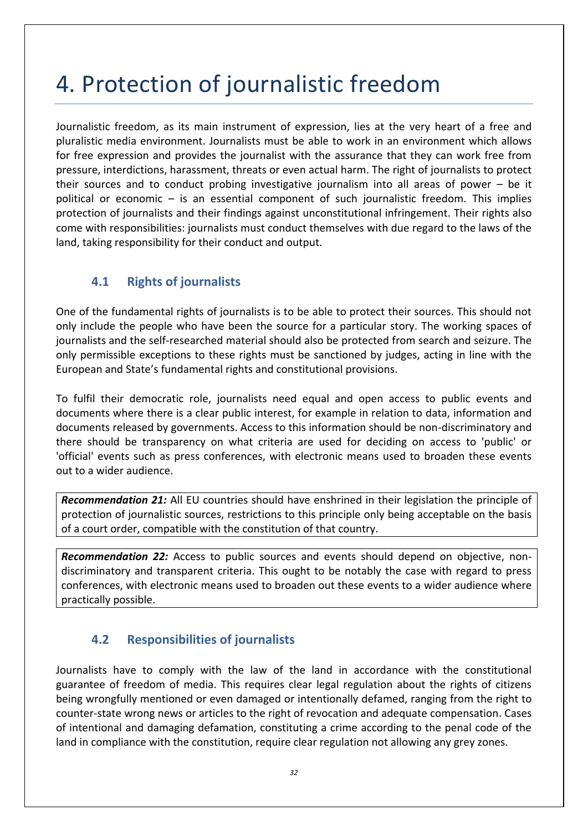# 4. Protection of journalistic freedom

Journalistic freedom, as its main instrument of expression, lies at the very heart of a free and pluralistic media environment. Journalists must be able to work in an environment which allows for free expression and provides the journalist with the assurance that they can work free from pressure, interdictions, harassment, threats or even actual harm. The right of journalists to protect their sources and to conduct probing investigative journalism into all areas of power – be it political or economic – is an essential component of such journalistic freedom. This implies protection of journalists and their findings against unconstitutional infringement. Their rights also come with responsibilities: journalists must conduct themselves with due regard to the laws of the land, taking responsibility for their conduct and output.

## **4.1 Rights of journalists**

One of the fundamental rights of journalists is to be able to protect their sources. This should not only include the people who have been the source for a particular story. The working spaces of journalists and the self-researched material should also be protected from search and seizure. The only permissible exceptions to these rights must be sanctioned by judges, acting in line with the European and State's fundamental rights and constitutional provisions.

To fulfil their democratic role, journalists need equal and open access to public events and documents where there is a clear public interest, for example in relation to data, information and documents released by governments. Access to this information should be non-discriminatory and there should be transparency on what criteria are used for deciding on access to 'public' or 'official' events such as press conferences, with electronic means used to broaden these events out to a wider audience.

*Recommendation 21:* All EU countries should have enshrined in their legislation the principle of protection of journalistic sources, restrictions to this principle only being acceptable on the basis of a court order, compatible with the constitution of that country.

*Recommendation 22:* Access to public sources and events should depend on objective, nondiscriminatory and transparent criteria. This ought to be notably the case with regard to press conferences, with electronic means used to broaden out these events to a wider audience where practically possible.

### **4.2 Responsibilities of journalists**

Journalists have to comply with the law of the land in accordance with the constitutional guarantee of freedom of media. This requires clear legal regulation about the rights of citizens being wrongfully mentioned or even damaged or intentionally defamed, ranging from the right to counter-state wrong news or articles to the right of revocation and adequate compensation. Cases of intentional and damaging defamation, constituting a crime according to the penal code of the land in compliance with the constitution, require clear regulation not allowing any grey zones.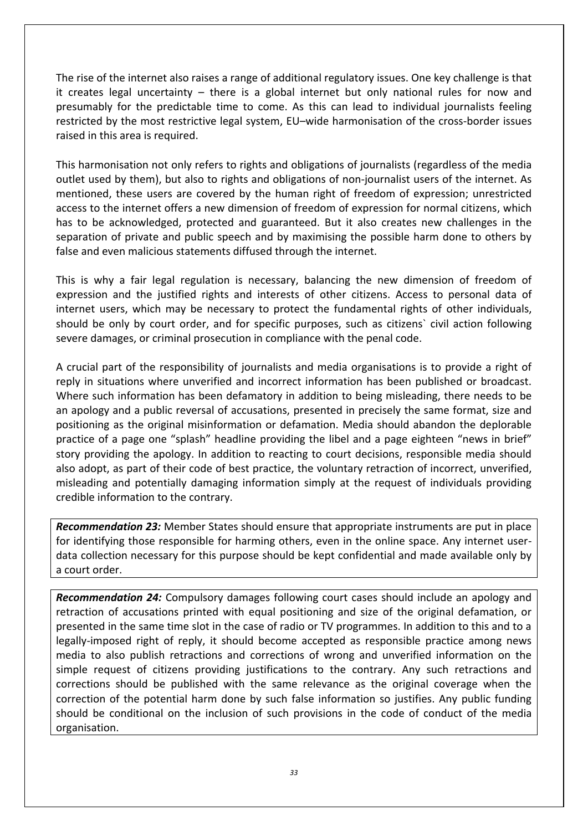The rise of the internet also raises a range of additional regulatory issues. One key challenge is that it creates legal uncertainty – there is a global internet but only national rules for now and presumably for the predictable time to come. As this can lead to individual journalists feeling restricted by the most restrictive legal system, EU–wide harmonisation of the cross-border issues raised in this area is required.

This harmonisation not only refers to rights and obligations of journalists (regardless of the media outlet used by them), but also to rights and obligations of non-journalist users of the internet. As mentioned, these users are covered by the human right of freedom of expression; unrestricted access to the internet offers a new dimension of freedom of expression for normal citizens, which has to be acknowledged, protected and guaranteed. But it also creates new challenges in the separation of private and public speech and by maximising the possible harm done to others by false and even malicious statements diffused through the internet.

This is why a fair legal regulation is necessary, balancing the new dimension of freedom of expression and the justified rights and interests of other citizens. Access to personal data of internet users, which may be necessary to protect the fundamental rights of other individuals, should be only by court order, and for specific purposes, such as citizens` civil action following severe damages, or criminal prosecution in compliance with the penal code.

A crucial part of the responsibility of journalists and media organisations is to provide a right of reply in situations where unverified and incorrect information has been published or broadcast. Where such information has been defamatory in addition to being misleading, there needs to be an apology and a public reversal of accusations, presented in precisely the same format, size and positioning as the original misinformation or defamation. Media should abandon the deplorable practice of a page one "splash" headline providing the libel and a page eighteen "news in brief" story providing the apology. In addition to reacting to court decisions, responsible media should also adopt, as part of their code of best practice, the voluntary retraction of incorrect, unverified, misleading and potentially damaging information simply at the request of individuals providing credible information to the contrary.

*Recommendation 23:* Member States should ensure that appropriate instruments are put in place for identifying those responsible for harming others, even in the online space. Any internet userdata collection necessary for this purpose should be kept confidential and made available only by a court order.

*Recommendation 24:* Compulsory damages following court cases should include an apology and retraction of accusations printed with equal positioning and size of the original defamation, or presented in the same time slot in the case of radio or TV programmes. In addition to this and to a legally-imposed right of reply, it should become accepted as responsible practice among news media to also publish retractions and corrections of wrong and unverified information on the simple request of citizens providing justifications to the contrary. Any such retractions and corrections should be published with the same relevance as the original coverage when the correction of the potential harm done by such false information so justifies. Any public funding should be conditional on the inclusion of such provisions in the code of conduct of the media organisation.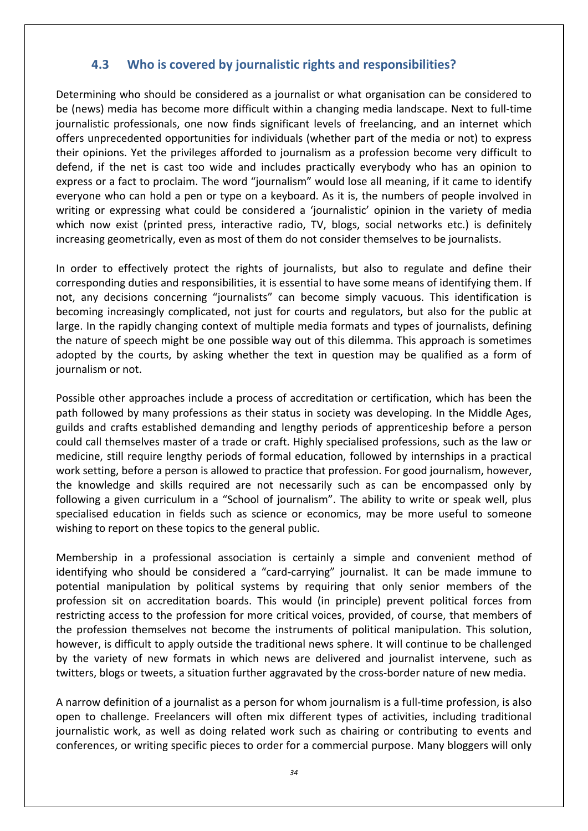#### **4.3 Who is covered by journalistic rights and responsibilities?**

Determining who should be considered as a journalist or what organisation can be considered to be (news) media has become more difficult within a changing media landscape. Next to full-time journalistic professionals, one now finds significant levels of freelancing, and an internet which offers unprecedented opportunities for individuals (whether part of the media or not) to express their opinions. Yet the privileges afforded to journalism as a profession become very difficult to defend, if the net is cast too wide and includes practically everybody who has an opinion to express or a fact to proclaim. The word "journalism" would lose all meaning, if it came to identify everyone who can hold a pen or type on a keyboard. As it is, the numbers of people involved in writing or expressing what could be considered a 'journalistic' opinion in the variety of media which now exist (printed press, interactive radio, TV, blogs, social networks etc.) is definitely increasing geometrically, even as most of them do not consider themselves to be journalists.

In order to effectively protect the rights of journalists, but also to regulate and define their corresponding duties and responsibilities, it is essential to have some means of identifying them. If not, any decisions concerning "journalists" can become simply vacuous. This identification is becoming increasingly complicated, not just for courts and regulators, but also for the public at large. In the rapidly changing context of multiple media formats and types of journalists, defining the nature of speech might be one possible way out of this dilemma. This approach is sometimes adopted by the courts, by asking whether the text in question may be qualified as a form of journalism or not.

Possible other approaches include a process of accreditation or certification, which has been the path followed by many professions as their status in society was developing. In the Middle Ages, guilds and crafts established demanding and lengthy periods of apprenticeship before a person could call themselves master of a trade or craft. Highly specialised professions, such as the law or medicine, still require lengthy periods of formal education, followed by internships in a practical work setting, before a person is allowed to practice that profession. For good journalism, however, the knowledge and skills required are not necessarily such as can be encompassed only by following a given curriculum in a "School of journalism". The ability to write or speak well, plus specialised education in fields such as science or economics, may be more useful to someone wishing to report on these topics to the general public.

Membership in a professional association is certainly a simple and convenient method of identifying who should be considered a "card-carrying" journalist. It can be made immune to potential manipulation by political systems by requiring that only senior members of the profession sit on accreditation boards. This would (in principle) prevent political forces from restricting access to the profession for more critical voices, provided, of course, that members of the profession themselves not become the instruments of political manipulation. This solution, however, is difficult to apply outside the traditional news sphere. It will continue to be challenged by the variety of new formats in which news are delivered and journalist intervene, such as twitters, blogs or tweets, a situation further aggravated by the cross-border nature of new media.

A narrow definition of a journalist as a person for whom journalism is a full-time profession, is also open to challenge. Freelancers will often mix different types of activities, including traditional journalistic work, as well as doing related work such as chairing or contributing to events and conferences, or writing specific pieces to order for a commercial purpose. Many bloggers will only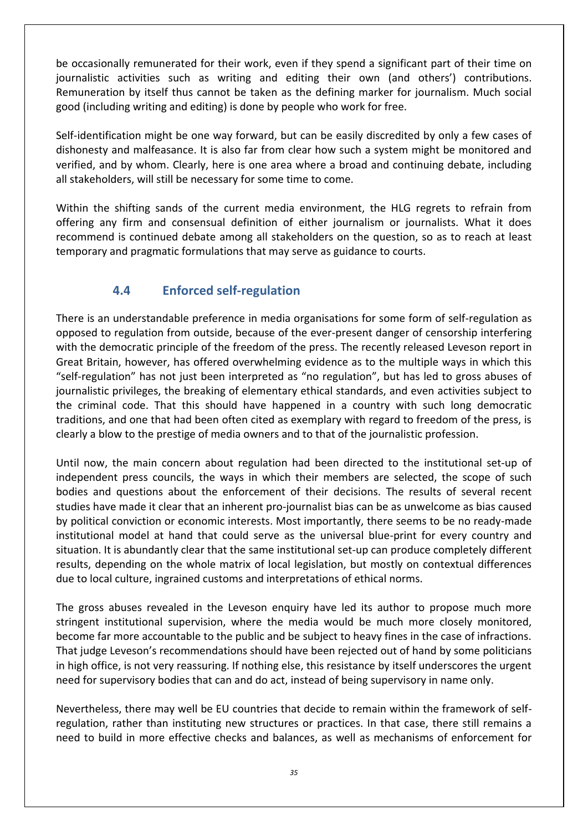be occasionally remunerated for their work, even if they spend a significant part of their time on journalistic activities such as writing and editing their own (and others') contributions. Remuneration by itself thus cannot be taken as the defining marker for journalism. Much social good (including writing and editing) is done by people who work for free.

Self-identification might be one way forward, but can be easily discredited by only a few cases of dishonesty and malfeasance. It is also far from clear how such a system might be monitored and verified, and by whom. Clearly, here is one area where a broad and continuing debate, including all stakeholders, will still be necessary for some time to come.

Within the shifting sands of the current media environment, the HLG regrets to refrain from offering any firm and consensual definition of either journalism or journalists. What it does recommend is continued debate among all stakeholders on the question, so as to reach at least temporary and pragmatic formulations that may serve as guidance to courts.

### **4.4 Enforced self-regulation**

There is an understandable preference in media organisations for some form of self-regulation as opposed to regulation from outside, because of the ever-present danger of censorship interfering with the democratic principle of the freedom of the press. The recently released Leveson report in Great Britain, however, has offered overwhelming evidence as to the multiple ways in which this "self-regulation" has not just been interpreted as "no regulation", but has led to gross abuses of journalistic privileges, the breaking of elementary ethical standards, and even activities subject to the criminal code. That this should have happened in a country with such long democratic traditions, and one that had been often cited as exemplary with regard to freedom of the press, is clearly a blow to the prestige of media owners and to that of the journalistic profession.

Until now, the main concern about regulation had been directed to the institutional set-up of independent press councils, the ways in which their members are selected, the scope of such bodies and questions about the enforcement of their decisions. The results of several recent studies have made it clear that an inherent pro-journalist bias can be as unwelcome as bias caused by political conviction or economic interests. Most importantly, there seems to be no ready-made institutional model at hand that could serve as the universal blue-print for every country and situation. It is abundantly clear that the same institutional set-up can produce completely different results, depending on the whole matrix of local legislation, but mostly on contextual differences due to local culture, ingrained customs and interpretations of ethical norms.

The gross abuses revealed in the Leveson enquiry have led its author to propose much more stringent institutional supervision, where the media would be much more closely monitored, become far more accountable to the public and be subject to heavy fines in the case of infractions. That judge Leveson's recommendations should have been rejected out of hand by some politicians in high office, is not very reassuring. If nothing else, this resistance by itself underscores the urgent need for supervisory bodies that can and do act, instead of being supervisory in name only.

Nevertheless, there may well be EU countries that decide to remain within the framework of selfregulation, rather than instituting new structures or practices. In that case, there still remains a need to build in more effective checks and balances, as well as mechanisms of enforcement for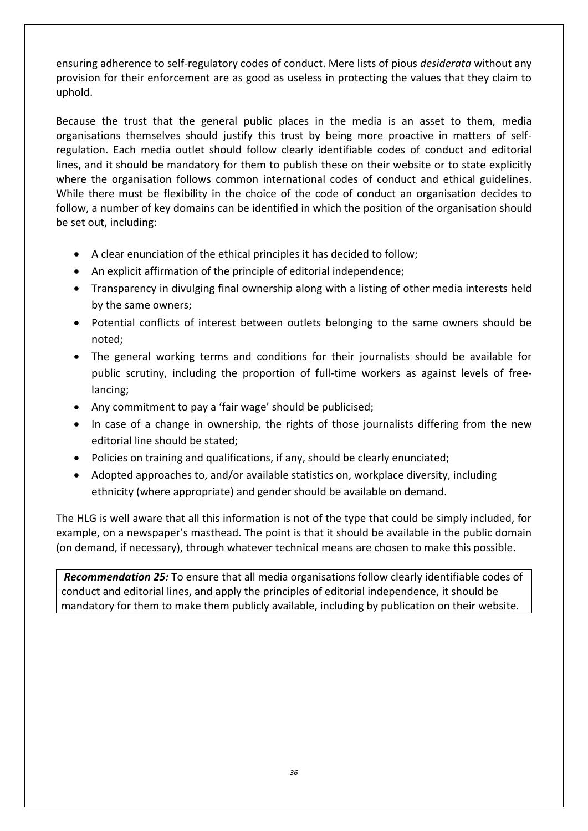ensuring adherence to self-regulatory codes of conduct. Mere lists of pious *desiderata* without any provision for their enforcement are as good as useless in protecting the values that they claim to uphold.

Because the trust that the general public places in the media is an asset to them, media organisations themselves should justify this trust by being more proactive in matters of selfregulation. Each media outlet should follow clearly identifiable codes of conduct and editorial lines, and it should be mandatory for them to publish these on their website or to state explicitly where the organisation follows common international codes of conduct and ethical guidelines. While there must be flexibility in the choice of the code of conduct an organisation decides to follow, a number of key domains can be identified in which the position of the organisation should be set out, including:

- A clear enunciation of the ethical principles it has decided to follow;
- An explicit affirmation of the principle of editorial independence;
- Transparency in divulging final ownership along with a listing of other media interests held by the same owners;
- Potential conflicts of interest between outlets belonging to the same owners should be noted;
- The general working terms and conditions for their journalists should be available for public scrutiny, including the proportion of full-time workers as against levels of freelancing;
- Any commitment to pay a 'fair wage' should be publicised;
- In case of a change in ownership, the rights of those journalists differing from the new editorial line should be stated;
- Policies on training and qualifications, if any, should be clearly enunciated;
- Adopted approaches to, and/or available statistics on, workplace diversity, including ethnicity (where appropriate) and gender should be available on demand.

The HLG is well aware that all this information is not of the type that could be simply included, for example, on a newspaper's masthead. The point is that it should be available in the public domain (on demand, if necessary), through whatever technical means are chosen to make this possible.

*Recommendation 25:* To ensure that all media organisations follow clearly identifiable codes of conduct and editorial lines, and apply the principles of editorial independence, it should be mandatory for them to make them publicly available, including by publication on their website.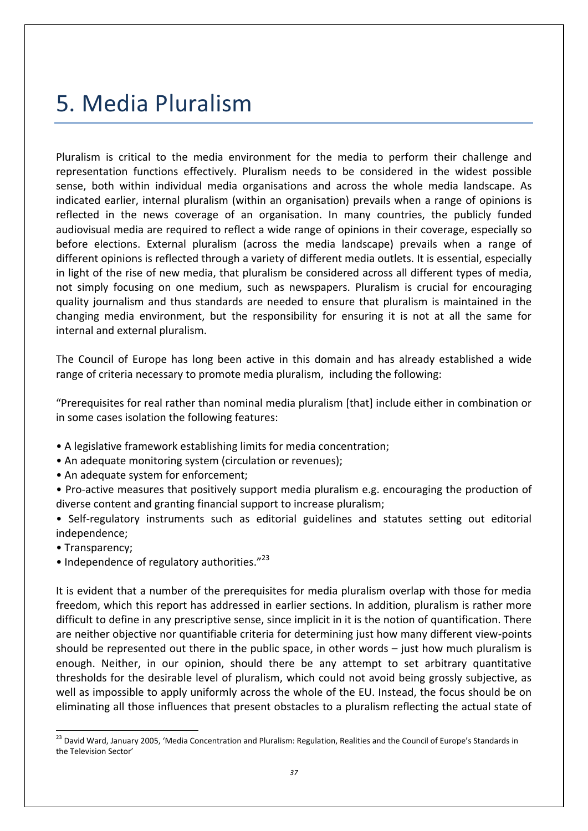## 5. Media Pluralism

Pluralism is critical to the media environment for the media to perform their challenge and representation functions effectively. Pluralism needs to be considered in the widest possible sense, both within individual media organisations and across the whole media landscape. As indicated earlier, internal pluralism (within an organisation) prevails when a range of opinions is reflected in the news coverage of an organisation. In many countries, the publicly funded audiovisual media are required to reflect a wide range of opinions in their coverage, especially so before elections. External pluralism (across the media landscape) prevails when a range of different opinions is reflected through a variety of different media outlets. It is essential, especially in light of the rise of new media, that pluralism be considered across all different types of media, not simply focusing on one medium, such as newspapers. Pluralism is crucial for encouraging quality journalism and thus standards are needed to ensure that pluralism is maintained in the changing media environment, but the responsibility for ensuring it is not at all the same for internal and external pluralism.

The Council of Europe has long been active in this domain and has already established a wide range of criteria necessary to promote media pluralism, including the following:

"Prerequisites for real rather than nominal media pluralism [that] include either in combination or in some cases isolation the following features:

- A legislative framework establishing limits for media concentration;
- An adequate monitoring system (circulation or revenues);
- An adequate system for enforcement;

• Pro-active measures that positively support media pluralism e.g. encouraging the production of diverse content and granting financial support to increase pluralism;

• Self-regulatory instruments such as editorial guidelines and statutes setting out editorial independence;

• Transparency;

 $\overline{a}$ 

• Independence of regulatory authorities."<sup>23</sup>

It is evident that a number of the prerequisites for media pluralism overlap with those for media freedom, which this report has addressed in earlier sections. In addition, pluralism is rather more difficult to define in any prescriptive sense, since implicit in it is the notion of quantification. There are neither objective nor quantifiable criteria for determining just how many different view-points should be represented out there in the public space, in other words – just how much pluralism is enough. Neither, in our opinion, should there be any attempt to set arbitrary quantitative thresholds for the desirable level of pluralism, which could not avoid being grossly subjective, as well as impossible to apply uniformly across the whole of the EU. Instead, the focus should be on eliminating all those influences that present obstacles to a pluralism reflecting the actual state of

<sup>&</sup>lt;sup>23</sup> David Ward, January 2005, 'Media Concentration and Pluralism: Regulation, Realities and the Council of Europe's Standards in the Television Sector'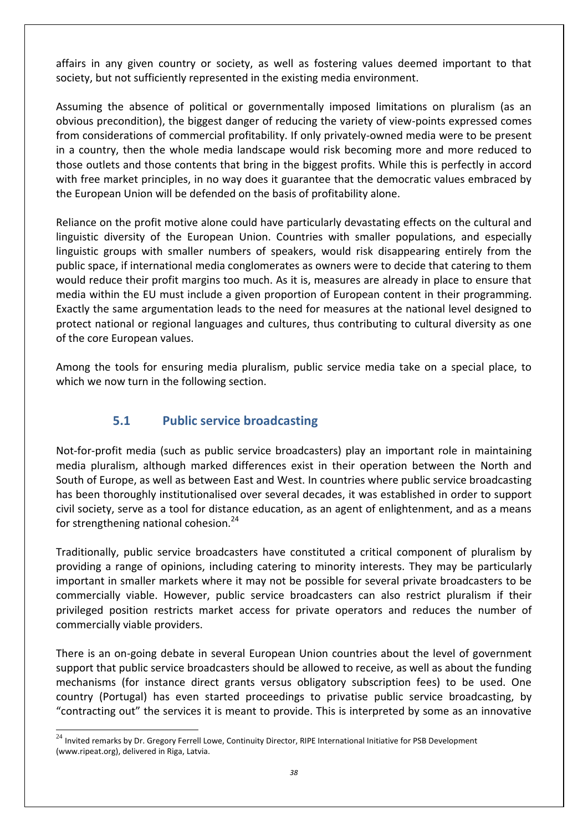affairs in any given country or society, as well as fostering values deemed important to that society, but not sufficiently represented in the existing media environment.

Assuming the absence of political or governmentally imposed limitations on pluralism (as an obvious precondition), the biggest danger of reducing the variety of view-points expressed comes from considerations of commercial profitability. If only privately-owned media were to be present in a country, then the whole media landscape would risk becoming more and more reduced to those outlets and those contents that bring in the biggest profits. While this is perfectly in accord with free market principles, in no way does it guarantee that the democratic values embraced by the European Union will be defended on the basis of profitability alone.

Reliance on the profit motive alone could have particularly devastating effects on the cultural and linguistic diversity of the European Union. Countries with smaller populations, and especially linguistic groups with smaller numbers of speakers, would risk disappearing entirely from the public space, if international media conglomerates as owners were to decide that catering to them would reduce their profit margins too much. As it is, measures are already in place to ensure that media within the EU must include a given proportion of European content in their programming. Exactly the same argumentation leads to the need for measures at the national level designed to protect national or regional languages and cultures, thus contributing to cultural diversity as one of the core European values.

Among the tools for ensuring media pluralism, public service media take on a special place, to which we now turn in the following section.

#### **5.1 Public service broadcasting**

Not-for-profit media (such as public service broadcasters) play an important role in maintaining media pluralism, although marked differences exist in their operation between the North and South of Europe, as well as between East and West. In countries where public service broadcasting has been thoroughly institutionalised over several decades, it was established in order to support civil society, serve as a tool for distance education, as an agent of enlightenment, and as a means for strengthening national cohesion. $24$ 

Traditionally, public service broadcasters have constituted a critical component of pluralism by providing a range of opinions, including catering to minority interests. They may be particularly important in smaller markets where it may not be possible for several private broadcasters to be commercially viable. However, public service broadcasters can also restrict pluralism if their privileged position restricts market access for private operators and reduces the number of commercially viable providers.

There is an on-going debate in several European Union countries about the level of government support that public service broadcasters should be allowed to receive, as well as about the funding mechanisms (for instance direct grants versus obligatory subscription fees) to be used. One country (Portugal) has even started proceedings to privatise public service broadcasting, by "contracting out" the services it is meant to provide. This is interpreted by some as an innovative

 $24$  Invited remarks by Dr. Gregory Ferrell Lowe, Continuity Director, RIPE International Initiative for PSB Development (www.ripeat.org), delivered in Riga, Latvia.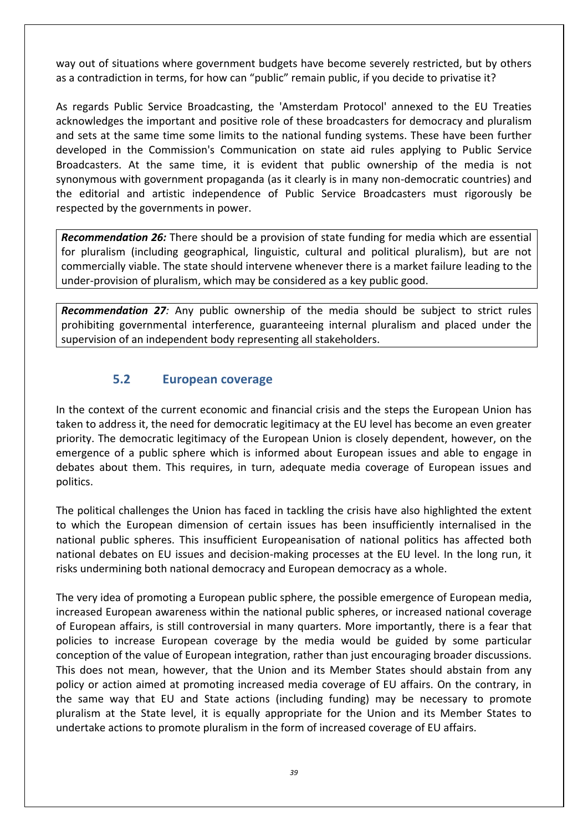way out of situations where government budgets have become severely restricted, but by others as a contradiction in terms, for how can "public" remain public, if you decide to privatise it?

As regards Public Service Broadcasting, the 'Amsterdam Protocol' annexed to the EU Treaties acknowledges the important and positive role of these broadcasters for democracy and pluralism and sets at the same time some limits to the national funding systems. These have been further developed in the Commission's Communication on state aid rules applying to Public Service Broadcasters. At the same time, it is evident that public ownership of the media is not synonymous with government propaganda (as it clearly is in many non-democratic countries) and the editorial and artistic independence of Public Service Broadcasters must rigorously be respected by the governments in power.

*Recommendation 26:* There should be a provision of state funding for media which are essential for pluralism (including geographical, linguistic, cultural and political pluralism), but are not commercially viable. The state should intervene whenever there is a market failure leading to the under-provision of pluralism, which may be considered as a key public good.

*Recommendation 27:* Any public ownership of the media should be subject to strict rules prohibiting governmental interference, guaranteeing internal pluralism and placed under the supervision of an independent body representing all stakeholders.

#### **5.2 European coverage**

In the context of the current economic and financial crisis and the steps the European Union has taken to address it, the need for democratic legitimacy at the EU level has become an even greater priority. The democratic legitimacy of the European Union is closely dependent, however, on the emergence of a public sphere which is informed about European issues and able to engage in debates about them. This requires, in turn, adequate media coverage of European issues and politics.

The political challenges the Union has faced in tackling the crisis have also highlighted the extent to which the European dimension of certain issues has been insufficiently internalised in the national public spheres. This insufficient Europeanisation of national politics has affected both national debates on EU issues and decision-making processes at the EU level. In the long run, it risks undermining both national democracy and European democracy as a whole.

The very idea of promoting a European public sphere, the possible emergence of European media, increased European awareness within the national public spheres, or increased national coverage of European affairs, is still controversial in many quarters. More importantly, there is a fear that policies to increase European coverage by the media would be guided by some particular conception of the value of European integration, rather than just encouraging broader discussions. This does not mean, however, that the Union and its Member States should abstain from any policy or action aimed at promoting increased media coverage of EU affairs. On the contrary, in the same way that EU and State actions (including funding) may be necessary to promote pluralism at the State level, it is equally appropriate for the Union and its Member States to undertake actions to promote pluralism in the form of increased coverage of EU affairs.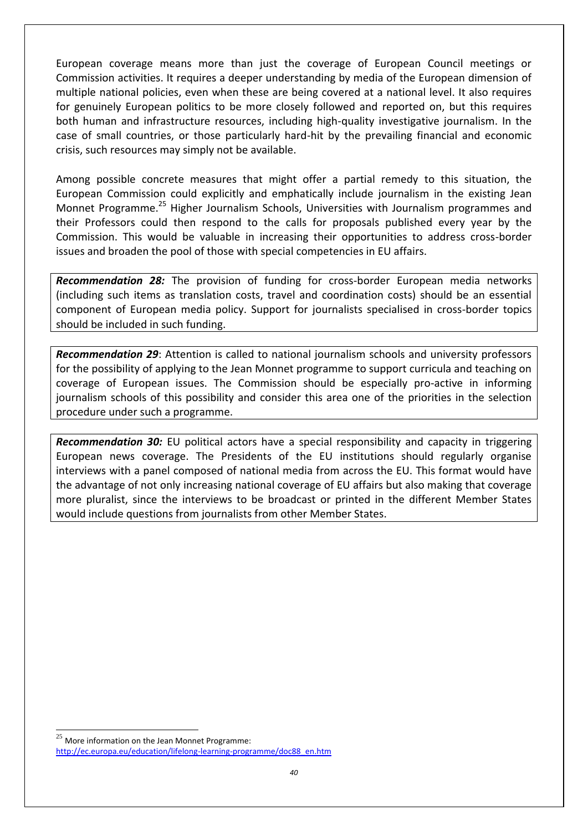European coverage means more than just the coverage of European Council meetings or Commission activities. It requires a deeper understanding by media of the European dimension of multiple national policies, even when these are being covered at a national level. It also requires for genuinely European politics to be more closely followed and reported on, but this requires both human and infrastructure resources, including high-quality investigative journalism. In the case of small countries, or those particularly hard-hit by the prevailing financial and economic crisis, such resources may simply not be available.

Among possible concrete measures that might offer a partial remedy to this situation, the European Commission could explicitly and emphatically include journalism in the existing Jean Monnet Programme.<sup>25</sup> Higher Journalism Schools, Universities with Journalism programmes and their Professors could then respond to the calls for proposals published every year by the Commission. This would be valuable in increasing their opportunities to address cross-border issues and broaden the pool of those with special competencies in EU affairs.

*Recommendation 28:* The provision of funding for cross-border European media networks (including such items as translation costs, travel and coordination costs) should be an essential component of European media policy. Support for journalists specialised in cross-border topics should be included in such funding.

*Recommendation 29*: Attention is called to national journalism schools and university professors for the possibility of applying to the Jean Monnet programme to support curricula and teaching on coverage of European issues. The Commission should be especially pro-active in informing journalism schools of this possibility and consider this area one of the priorities in the selection procedure under such a programme.

*Recommendation 30:* EU political actors have a special responsibility and capacity in triggering European news coverage. The Presidents of the EU institutions should regularly organise interviews with a panel composed of national media from across the EU. This format would have the advantage of not only increasing national coverage of EU affairs but also making that coverage more pluralist, since the interviews to be broadcast or printed in the different Member States would include questions from journalists from other Member States.

 $25$  More information on the Jean Monnet Programme: http://ec.europa.eu/education/lifelong-learning-programme/doc88\_en.htm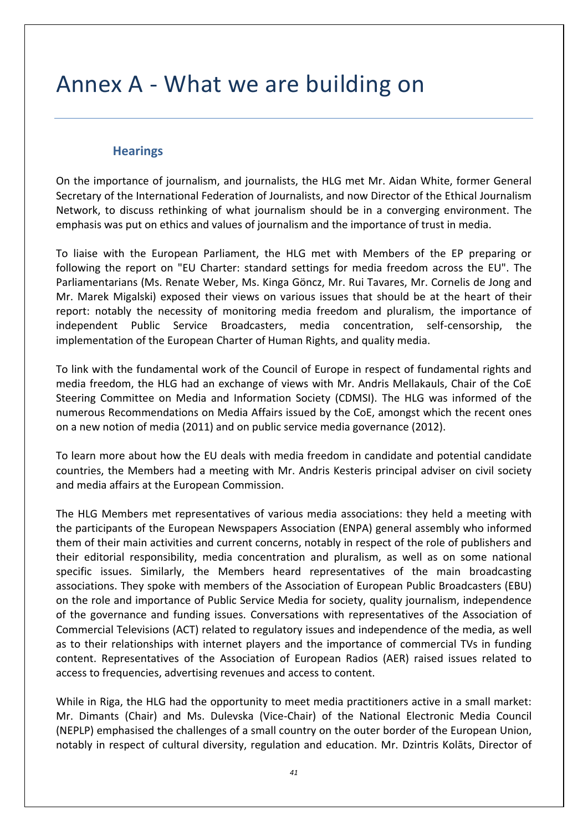## Annex A - What we are building on

#### **Hearings**

On the importance of journalism, and journalists, the HLG met Mr. Aidan White, former General Secretary of the International Federation of Journalists, and now Director of the Ethical Journalism Network, to discuss rethinking of what journalism should be in a converging environment. The emphasis was put on ethics and values of journalism and the importance of trust in media.

To liaise with the European Parliament, the HLG met with Members of the EP preparing or following the report on "EU Charter: standard settings for media freedom across the EU". The Parliamentarians (Ms. Renate Weber, Ms. Kinga Göncz, Mr. Rui Tavares, Mr. Cornelis de Jong and Mr. Marek Migalski) exposed their views on various issues that should be at the heart of their report: notably the necessity of monitoring media freedom and pluralism, the importance of independent Public Service Broadcasters, media concentration, self-censorship, the implementation of the European Charter of Human Rights, and quality media.

To link with the fundamental work of the Council of Europe in respect of fundamental rights and media freedom, the HLG had an exchange of views with Mr. Andris Mellakauls, Chair of the CoE Steering Committee on Media and Information Society (CDMSI). The HLG was informed of the numerous Recommendations on Media Affairs issued by the CoE, amongst which the recent ones on a new notion of media (2011) and on public service media governance (2012).

To learn more about how the EU deals with media freedom in candidate and potential candidate countries, the Members had a meeting with Mr. Andris Kesteris principal adviser on civil society and media affairs at the European Commission.

The HLG Members met representatives of various media associations: they held a meeting with the participants of the European Newspapers Association (ENPA) general assembly who informed them of their main activities and current concerns, notably in respect of the role of publishers and their editorial responsibility, media concentration and pluralism, as well as on some national specific issues. Similarly, the Members heard representatives of the main broadcasting associations. They spoke with members of the Association of European Public Broadcasters (EBU) on the role and importance of Public Service Media for society, quality journalism, independence of the governance and funding issues. Conversations with representatives of the Association of Commercial Televisions (ACT) related to regulatory issues and independence of the media, as well as to their relationships with internet players and the importance of commercial TVs in funding content. Representatives of the Association of European Radios (AER) raised issues related to access to frequencies, advertising revenues and access to content.

While in Riga, the HLG had the opportunity to meet media practitioners active in a small market: Mr. Dimants (Chair) and Ms. Dulevska (Vice-Chair) of the National Electronic Media Council (NEPLP) emphasised the challenges of a small country on the outer border of the European Union, notably in respect of cultural diversity, regulation and education. Mr. Dzintris Kolāts, Director of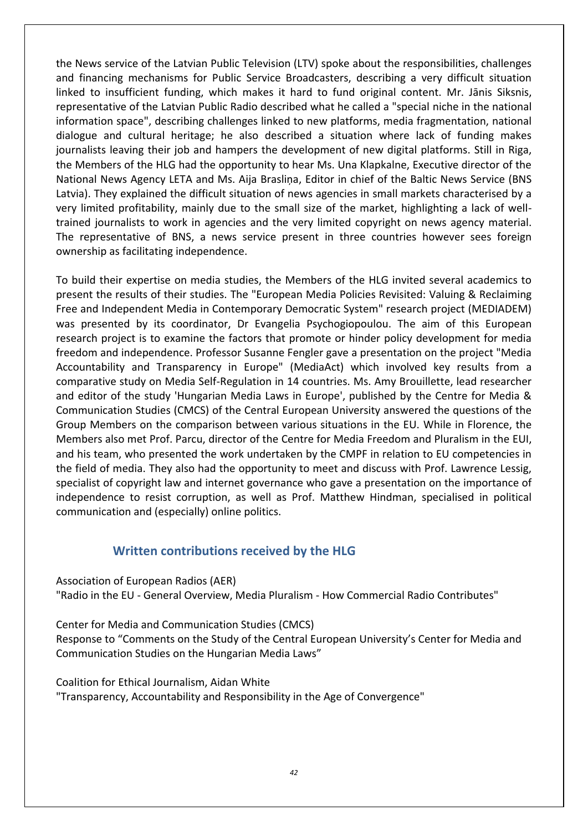the News service of the Latvian Public Television (LTV) spoke about the responsibilities, challenges and financing mechanisms for Public Service Broadcasters, describing a very difficult situation linked to insufficient funding, which makes it hard to fund original content. Mr. Jānis Siksnis, representative of the Latvian Public Radio described what he called a "special niche in the national information space", describing challenges linked to new platforms, media fragmentation, national dialogue and cultural heritage; he also described a situation where lack of funding makes journalists leaving their job and hampers the development of new digital platforms. Still in Riga, the Members of the HLG had the opportunity to hear Ms. Una Klapkalne, Executive director of the National News Agency LETA and Ms. Aija Brasliņa, Editor in chief of the Baltic News Service (BNS Latvia). They explained the difficult situation of news agencies in small markets characterised by a very limited profitability, mainly due to the small size of the market, highlighting a lack of welltrained journalists to work in agencies and the very limited copyright on news agency material. The representative of BNS, a news service present in three countries however sees foreign ownership as facilitating independence.

To build their expertise on media studies, the Members of the HLG invited several academics to present the results of their studies. The "European Media Policies Revisited: Valuing & Reclaiming Free and Independent Media in Contemporary Democratic System" research project (MEDIADEM) was presented by its coordinator, Dr Evangelia Psychogiopoulou. The aim of this European research project is to examine the factors that promote or hinder policy development for media freedom and independence. Professor Susanne Fengler gave a presentation on the project "Media Accountability and Transparency in Europe" (MediaAct) which involved key results from a comparative study on Media Self-Regulation in 14 countries. Ms. Amy Brouillette, lead researcher and editor of the study 'Hungarian Media Laws in Europe', published by the Centre for Media & Communication Studies (CMCS) of the Central European University answered the questions of the Group Members on the comparison between various situations in the EU. While in Florence, the Members also met Prof. Parcu, director of the Centre for Media Freedom and Pluralism in the EUI, and his team, who presented the work undertaken by the CMPF in relation to EU competencies in the field of media. They also had the opportunity to meet and discuss with Prof. Lawrence Lessig, specialist of copyright law and internet governance who gave a presentation on the importance of independence to resist corruption, as well as Prof. Matthew Hindman, specialised in political communication and (especially) online politics.

#### **Written contributions received by the HLG**

Association of European Radios (AER)

"Radio in the EU - General Overview, Media Pluralism - How Commercial Radio Contributes"

Center for Media and Communication Studies (CMCS)

Response to "Comments on the Study of the Central European University's Center for Media and Communication Studies on the Hungarian Media Laws"

Coalition for Ethical Journalism, Aidan White

"Transparency, Accountability and Responsibility in the Age of Convergence"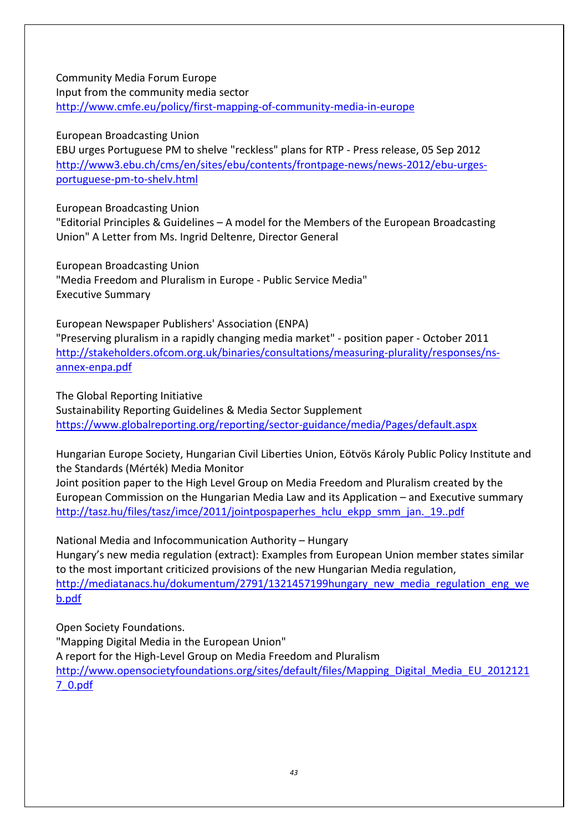Community Media Forum Europe Input from the community media sector <http://www.cmfe.eu/policy/first-mapping-of-community-media-in-europe>

European Broadcasting Union

EBU urges Portuguese PM to shelve "reckless" plans for RTP - Press release, 05 Sep 2012 [http://www3.ebu.ch/cms/en/sites/ebu/contents/frontpage-news/news-2012/ebu-urges](http://www3.ebu.ch/cms/en/sites/ebu/contents/frontpage-news/news-2012/ebu-urges-portuguese-pm-to-shelv.html)[portuguese-pm-to-shelv.html](http://www3.ebu.ch/cms/en/sites/ebu/contents/frontpage-news/news-2012/ebu-urges-portuguese-pm-to-shelv.html)

European Broadcasting Union

"Editorial Principles & Guidelines – A model for the Members of the European Broadcasting Union" A Letter from Ms. Ingrid Deltenre, Director General

European Broadcasting Union "Media Freedom and Pluralism in Europe - Public Service Media" Executive Summary

European Newspaper Publishers' Association (ENPA) "Preserving pluralism in a rapidly changing media market" - position paper - October 2011 [http://stakeholders.ofcom.org.uk/binaries/consultations/measuring-plurality/responses/ns](http://stakeholders.ofcom.org.uk/binaries/consultations/measuring-plurality/responses/ns-annex-enpa.pdf)[annex-enpa.pdf](http://stakeholders.ofcom.org.uk/binaries/consultations/measuring-plurality/responses/ns-annex-enpa.pdf)

The Global Reporting Initiative Sustainability Reporting Guidelines & Media Sector Supplement <https://www.globalreporting.org/reporting/sector-guidance/media/Pages/default.aspx>

Hungarian Europe Society, Hungarian Civil Liberties Union, Eötvös Károly Public Policy Institute and the Standards (Mérték) Media Monitor

Joint position paper to the High Level Group on Media Freedom and Pluralism created by the European Commission on the Hungarian Media Law and its Application – and Executive summary http://tasz.hu/files/tasz/imce/2011/jointpospaperhes hclu ekpp smm jan. 19..pdf

National Media and Infocommunication Authority – Hungary Hungary's new media regulation (extract): Examples from European Union member states similar to the most important criticized provisions of the new Hungarian Media regulation, [http://mediatanacs.hu/dokumentum/2791/1321457199hungary\\_new\\_media\\_regulation\\_eng\\_we](http://mediatanacs.hu/dokumentum/2791/1321457199hungary_new_media_regulation_eng_web.pdf) [b.pdf](http://mediatanacs.hu/dokumentum/2791/1321457199hungary_new_media_regulation_eng_web.pdf)

Open Society Foundations.

"Mapping Digital Media in the European Union" A report for the High-Level Group on Media Freedom and Pluralism [http://www.opensocietyfoundations.org/sites/default/files/Mapping\\_Digital\\_Media\\_EU\\_2012121](http://www.opensocietyfoundations.org/sites/default/files/Mapping_Digital_Media_EU_20121217_0.pdf) [7\\_0.pdf](http://www.opensocietyfoundations.org/sites/default/files/Mapping_Digital_Media_EU_20121217_0.pdf)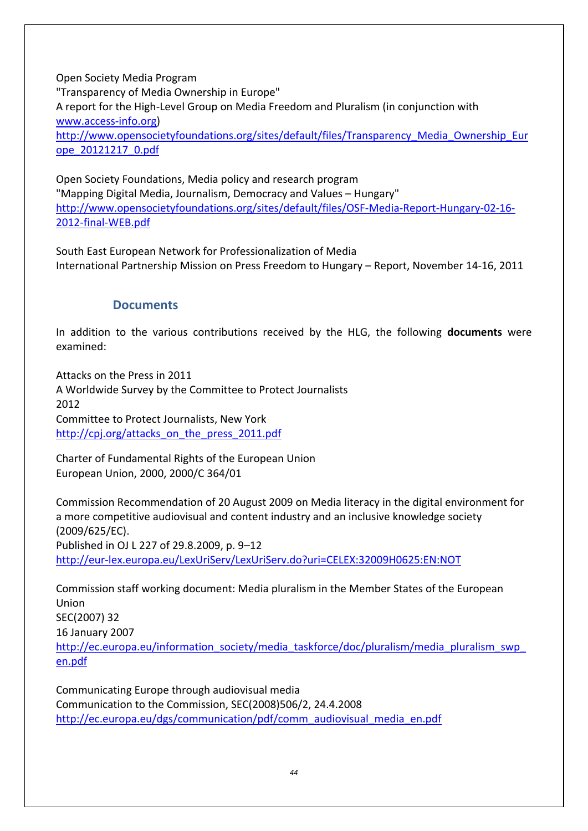Open Society Media Program "Transparency of Media Ownership in Europe" A report for the High-Level Group on Media Freedom and Pluralism (in conjunction with [www.access-info.org\)](http://www.access-info.org/) [http://www.opensocietyfoundations.org/sites/default/files/Transparency\\_Media\\_Ownership\\_Eur](http://www.opensocietyfoundations.org/sites/default/files/Transparency_Media_Ownership_Europe_20121217_0.pdf) [ope\\_20121217\\_0.pdf](http://www.opensocietyfoundations.org/sites/default/files/Transparency_Media_Ownership_Europe_20121217_0.pdf)

Open Society Foundations, Media policy and research program "Mapping Digital Media, Journalism, Democracy and Values – Hungary" [http://www.opensocietyfoundations.org/sites/default/files/OSF-Media-Report-Hungary-02-16-](http://www.opensocietyfoundations.org/sites/default/files/OSF-Media-Report-Hungary-02-16-2012-final-WEB.pdf) [2012-final-WEB.pdf](http://www.opensocietyfoundations.org/sites/default/files/OSF-Media-Report-Hungary-02-16-2012-final-WEB.pdf)

South East European Network for Professionalization of Media International Partnership Mission on Press Freedom to Hungary – Report, November 14-16, 2011

#### **Documents**

In addition to the various contributions received by the HLG, the following **documents** were examined:

Attacks on the Press in 2011 A Worldwide Survey by the Committee to Protect Journalists 2012 Committee to Protect Journalists, New York [http://cpj.org/attacks\\_on\\_the\\_press\\_2011.pdf](http://cpj.org/attacks_on_the_press_2011.pdf)

Charter of Fundamental Rights of the European Union European Union, 2000, 2000/C 364/01

Commission Recommendation of 20 August 2009 on Media literacy in the digital environment for a more competitive audiovisual and content industry and an inclusive knowledge society (2009/625/EC). Published in OJ L 227 of 29.8.2009, p. 9–12 <http://eur-lex.europa.eu/LexUriServ/LexUriServ.do?uri=CELEX:32009H0625:EN:NOT>

Commission staff working document: Media pluralism in the Member States of the European Union SEC(2007) 32 16 January 2007 http://ec.europa.eu/information\_society/media\_taskforce/doc/pluralism/media\_pluralism\_swp [en.pdf](http://ec.europa.eu/information_society/media_taskforce/doc/pluralism/media_pluralism_swp_en.pdf)

Communicating Europe through audiovisual media Communication to the Commission, SEC(2008)506/2, 24.4.2008 [http://ec.europa.eu/dgs/communication/pdf/comm\\_audiovisual\\_media\\_en.pdf](http://ec.europa.eu/dgs/communication/pdf/comm_audiovisual_media_en.pdf)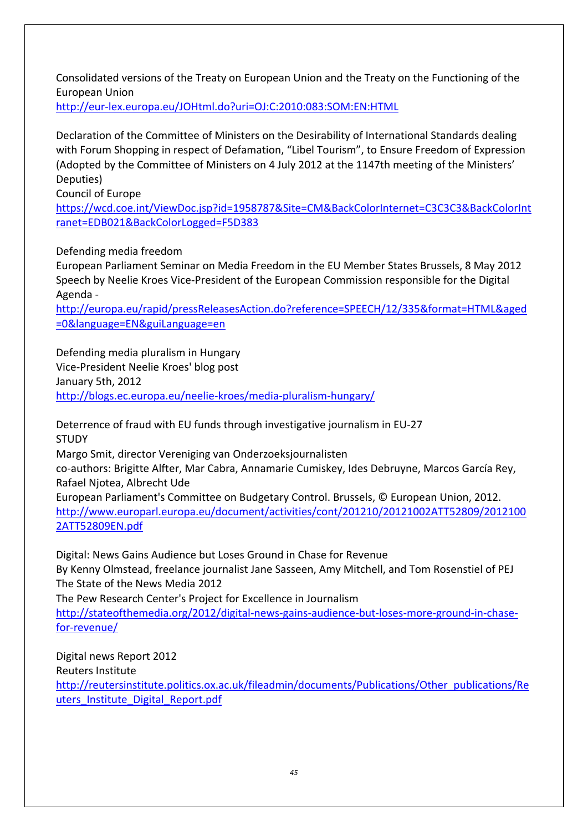Consolidated versions of the Treaty on European Union and the Treaty on the Functioning of the European Union

<http://eur-lex.europa.eu/JOHtml.do?uri=OJ:C:2010:083:SOM:EN:HTML>

Declaration of the Committee of Ministers on the Desirability of International Standards dealing with Forum Shopping in respect of Defamation, "Libel Tourism", to Ensure Freedom of Expression (Adopted by the Committee of Ministers on 4 July 2012 at the 1147th meeting of the Ministers' Deputies)

Council of Europe

[https://wcd.coe.int/ViewDoc.jsp?id=1958787&Site=CM&BackColorInternet=C3C3C3&BackColorInt](https://wcd.coe.int/ViewDoc.jsp?id=1958787&Site=CM&BackColorInternet=C3C3C3&BackColorIntranet=EDB021&BackColorLogged=F5D383) [ranet=EDB021&BackColorLogged=F5D383](https://wcd.coe.int/ViewDoc.jsp?id=1958787&Site=CM&BackColorInternet=C3C3C3&BackColorIntranet=EDB021&BackColorLogged=F5D383)

Defending media freedom

European Parliament Seminar on Media Freedom in the EU Member States Brussels, 8 May 2012 Speech by Neelie Kroes Vice-President of the European Commission responsible for the Digital Agenda -

[http://europa.eu/rapid/pressReleasesAction.do?reference=SPEECH/12/335&format=HTML&aged](http://europa.eu/rapid/pressReleasesAction.do?reference=SPEECH/12/335&format=HTML&aged=0&language=EN&guiLanguage=en) [=0&language=EN&guiLanguage=en](http://europa.eu/rapid/pressReleasesAction.do?reference=SPEECH/12/335&format=HTML&aged=0&language=EN&guiLanguage=en)

Defending media pluralism in Hungary Vice-President Neelie Kroes' blog post January 5th, 2012 <http://blogs.ec.europa.eu/neelie-kroes/media-pluralism-hungary/>

Deterrence of fraud with EU funds through investigative journalism in EU-27 **STUDY** 

Margo Smit, director Vereniging van Onderzoeksjournalisten

co-authors: Brigitte Alfter, Mar Cabra, Annamarie Cumiskey, Ides Debruyne, Marcos García Rey, Rafael Njotea, Albrecht Ude

European Parliament's Committee on Budgetary Control. Brussels, © European Union, 2012. [http://www.europarl.europa.eu/document/activities/cont/201210/20121002ATT52809/2012100](http://www.europarl.europa.eu/document/activities/cont/201210/20121002ATT52809/20121002ATT52809EN.pdf) [2ATT52809EN.pdf](http://www.europarl.europa.eu/document/activities/cont/201210/20121002ATT52809/20121002ATT52809EN.pdf)

Digital: News Gains Audience but Loses Ground in Chase for Revenue By Kenny Olmstead, freelance journalist Jane Sasseen, Amy Mitchell, and Tom Rosenstiel of PEJ The State of the News Media 2012 The Pew Research Center's Project for Excellence in Journalism

[http://stateofthemedia.org/2012/digital-news-gains-audience-but-loses-more-ground-in-chase](http://stateofthemedia.org/2012/digital-news-gains-audience-but-loses-more-ground-in-chase-for-revenue/)[for-revenue/](http://stateofthemedia.org/2012/digital-news-gains-audience-but-loses-more-ground-in-chase-for-revenue/)

Digital news Report 2012 Reuters Institute [http://reutersinstitute.politics.ox.ac.uk/fileadmin/documents/Publications/Other\\_publications/Re](http://reutersinstitute.politics.ox.ac.uk/fileadmin/documents/Publications/Other_publications/Reuters_Institute_Digital_Report.pdf) [uters\\_Institute\\_Digital\\_Report.pdf](http://reutersinstitute.politics.ox.ac.uk/fileadmin/documents/Publications/Other_publications/Reuters_Institute_Digital_Report.pdf)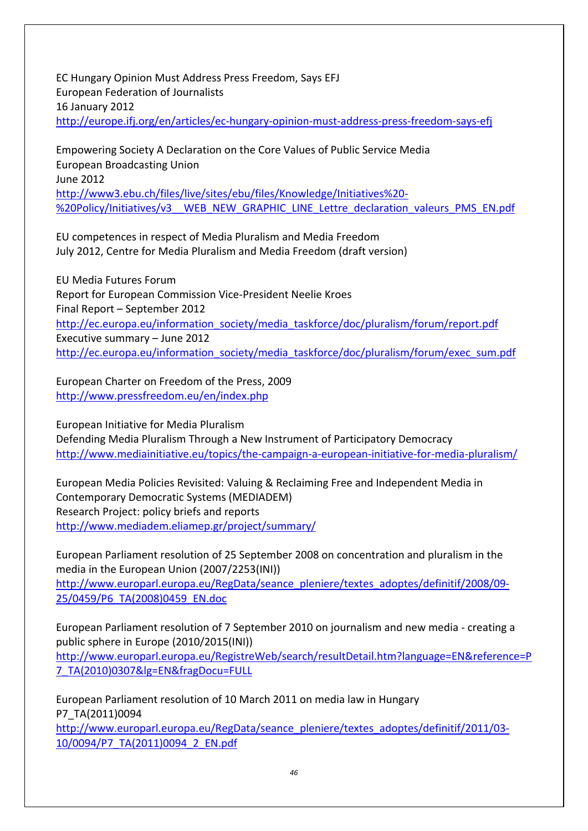EC Hungary Opinion Must Address Press Freedom, Says EFJ European Federation of Journalists 16 January 2012 <http://europe.ifj.org/en/articles/ec-hungary-opinion-must-address-press-freedom-says-efj>

Empowering Society A Declaration on the Core Values of Public Service Media European Broadcasting Union June 2012 [http://www3.ebu.ch/files/live/sites/ebu/files/Knowledge/Initiatives%20-](http://www3.ebu.ch/files/live/sites/ebu/files/Knowledge/Initiatives%20-%20Policy/Initiatives/v3__WEB_NEW_GRAPHIC_LINE_Lettre_declaration_valeurs_PMS_EN.pdf) %20Policy/Initiatives/v3 WEB\_NEW\_GRAPHIC\_LINE\_Lettre\_declaration\_valeurs\_PMS\_EN.pdf

EU competences in respect of Media Pluralism and Media Freedom July 2012, Centre for Media Pluralism and Media Freedom (draft version)

EU Media Futures Forum Report for European Commission Vice-President Neelie Kroes Final Report – September 2012 [http://ec.europa.eu/information\\_society/media\\_taskforce/doc/pluralism/forum/report.pdf](http://ec.europa.eu/information_society/media_taskforce/doc/pluralism/forum/report.pdf) Executive summary – June 2012 [http://ec.europa.eu/information\\_society/media\\_taskforce/doc/pluralism/forum/exec\\_sum.pdf](http://ec.europa.eu/information_society/media_taskforce/doc/pluralism/forum/exec_sum.pdf)

European Charter on Freedom of the Press, 2009 <http://www.pressfreedom.eu/en/index.php>

European Initiative for Media Pluralism Defending Media Pluralism Through a New Instrument of Participatory Democracy <http://www.mediainitiative.eu/topics/the-campaign-a-european-initiative-for-media-pluralism/>

European Media Policies Revisited: Valuing & Reclaiming Free and Independent Media in Contemporary Democratic Systems (MEDIADEM) Research Project: policy briefs and reports <http://www.mediadem.eliamep.gr/project/summary/>

European Parliament resolution of 25 September 2008 on concentration and pluralism in the media in the European Union (2007/2253(INI)) [http://www.europarl.europa.eu/RegData/seance\\_pleniere/textes\\_adoptes/definitif/2008/09-](http://www.europarl.europa.eu/RegData/seance_pleniere/textes_adoptes/definitif/2008/09-25/0459/P6_TA(2008)0459_EN.doc) [25/0459/P6\\_TA\(2008\)0459\\_EN.doc](http://www.europarl.europa.eu/RegData/seance_pleniere/textes_adoptes/definitif/2008/09-25/0459/P6_TA(2008)0459_EN.doc)

European Parliament resolution of 7 September 2010 on journalism and new media - creating a public sphere in Europe (2010/2015(INI))

[http://www.europarl.europa.eu/RegistreWeb/search/resultDetail.htm?language=EN&reference=P](http://www.europarl.europa.eu/RegistreWeb/search/resultDetail.htm?language=EN&reference=P7_TA(2010)0307&lg=EN&fragDocu=FULL) [7\\_TA\(2010\)0307&lg=EN&fragDocu=FULL](http://www.europarl.europa.eu/RegistreWeb/search/resultDetail.htm?language=EN&reference=P7_TA(2010)0307&lg=EN&fragDocu=FULL)

European Parliament resolution of 10 March 2011 on media law in Hungary P7\_TA(2011)0094 [http://www.europarl.europa.eu/RegData/seance\\_pleniere/textes\\_adoptes/definitif/2011/03-](http://www.europarl.europa.eu/RegData/seance_pleniere/textes_adoptes/definitif/2011/03-10/0094/P7_TA(2011)0094_2_EN.pdf) [10/0094/P7\\_TA\(2011\)0094\\_2\\_EN.pdf](http://www.europarl.europa.eu/RegData/seance_pleniere/textes_adoptes/definitif/2011/03-10/0094/P7_TA(2011)0094_2_EN.pdf)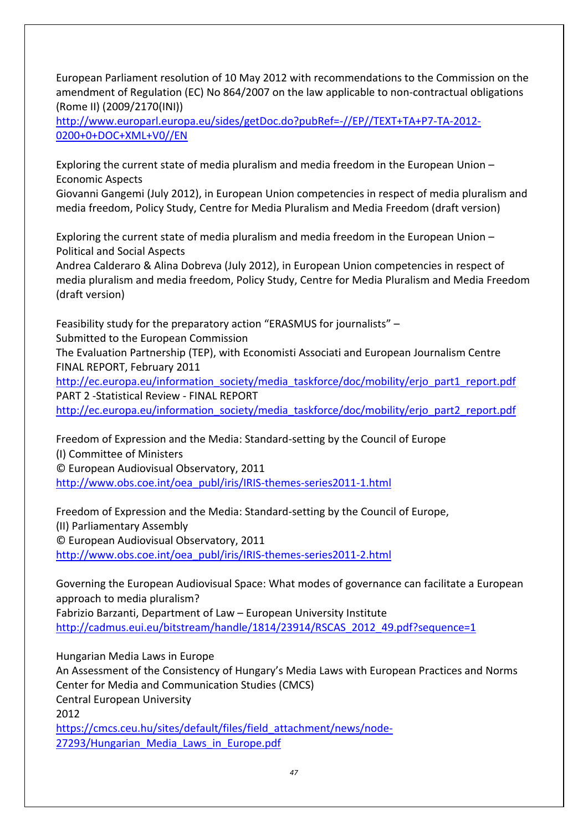European Parliament resolution of 10 May 2012 with recommendations to the Commission on the amendment of Regulation (EC) No 864/2007 on the law applicable to non-contractual obligations (Rome II) (2009/2170(INI))

[http://www.europarl.europa.eu/sides/getDoc.do?pubRef=-//EP//TEXT+TA+P7-TA-2012-](http://www.europarl.europa.eu/sides/getDoc.do?pubRef=-//EP//TEXT+TA+P7-TA-2012-0200+0+DOC+XML+V0//EN) [0200+0+DOC+XML+V0//EN](http://www.europarl.europa.eu/sides/getDoc.do?pubRef=-//EP//TEXT+TA+P7-TA-2012-0200+0+DOC+XML+V0//EN)

Exploring the current state of media pluralism and media freedom in the European Union – Economic Aspects

Giovanni Gangemi (July 2012), in European Union competencies in respect of media pluralism and media freedom, Policy Study, Centre for Media Pluralism and Media Freedom (draft version)

Exploring the current state of media pluralism and media freedom in the European Union – Political and Social Aspects

Andrea Calderaro & Alina Dobreva (July 2012), in European Union competencies in respect of media pluralism and media freedom, Policy Study, Centre for Media Pluralism and Media Freedom (draft version)

Feasibility study for the preparatory action "ERASMUS for journalists" –

Submitted to the European Commission

The Evaluation Partnership (TEP), with Economisti Associati and European Journalism Centre FINAL REPORT, February 2011

[http://ec.europa.eu/information\\_society/media\\_taskforce/doc/mobility/erjo\\_part1\\_report.pdf](http://ec.europa.eu/information_society/media_taskforce/doc/mobility/erjo_part1_report.pdf) PART 2 -Statistical Review - FINAL REPORT

[http://ec.europa.eu/information\\_society/media\\_taskforce/doc/mobility/erjo\\_part2\\_report.pdf](http://ec.europa.eu/information_society/media_taskforce/doc/mobility/erjo_part2_report.pdf)

Freedom of Expression and the Media: Standard-setting by the Council of Europe (I) Committee of Ministers © European Audiovisual Observatory, 2011

[http://www.obs.coe.int/oea\\_publ/iris/IRIS-themes-series2011-1.html](http://www.obs.coe.int/oea_publ/iris/IRIS-themes-series2011-1.html)

Freedom of Expression and the Media: Standard-setting by the Council of Europe, (II) Parliamentary Assembly © European Audiovisual Observatory, 2011 [http://www.obs.coe.int/oea\\_publ/iris/IRIS-themes-series2011-2.html](http://www.obs.coe.int/oea_publ/iris/IRIS-themes-series2011-2.html)

Governing the European Audiovisual Space: What modes of governance can facilitate a European approach to media pluralism? Fabrizio Barzanti, Department of Law – European University Institute [http://cadmus.eui.eu/bitstream/handle/1814/23914/RSCAS\\_2012\\_49.pdf?sequence=1](http://cadmus.eui.eu/bitstream/handle/1814/23914/RSCAS_2012_49.pdf?sequence=1)

Hungarian Media Laws in Europe An Assessment of the Consistency of Hungary's Media Laws with European Practices and Norms Center for Media and Communication Studies (CMCS) Central European University 2012 [https://cmcs.ceu.hu/sites/default/files/field\\_attachment/news/node-](https://cmcs.ceu.hu/sites/default/files/field_attachment/news/node-27293/Hungarian_Media_Laws_in_Europe.pdf)[27293/Hungarian\\_Media\\_Laws\\_in\\_Europe.pdf](https://cmcs.ceu.hu/sites/default/files/field_attachment/news/node-27293/Hungarian_Media_Laws_in_Europe.pdf)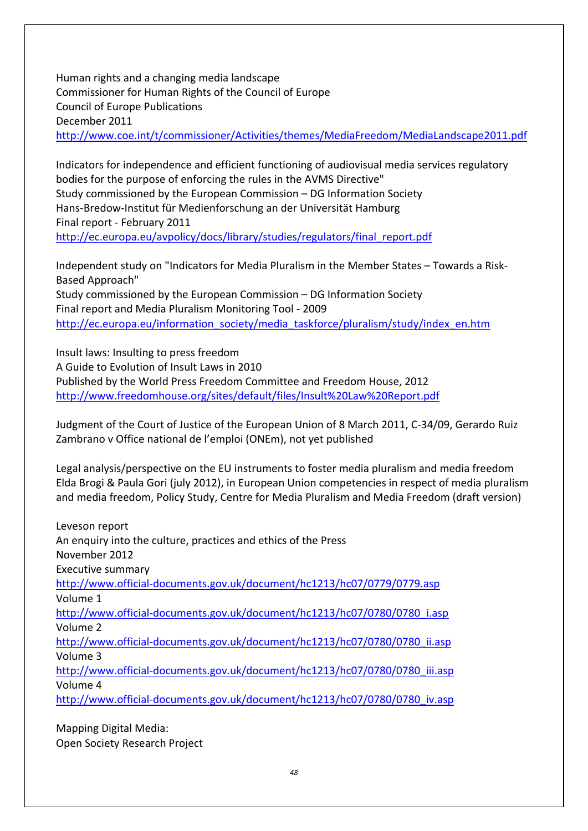Human rights and a changing media landscape Commissioner for Human Rights of the Council of Europe Council of Europe Publications December 2011 <http://www.coe.int/t/commissioner/Activities/themes/MediaFreedom/MediaLandscape2011.pdf>

Indicators for independence and efficient functioning of audiovisual media services regulatory bodies for the purpose of enforcing the rules in the AVMS Directive" Study commissioned by the European Commission – DG Information Society Hans-Bredow-Institut für Medienforschung an der Universität Hamburg Final report - February 2011 [http://ec.europa.eu/avpolicy/docs/library/studies/regulators/final\\_report.pdf](http://ec.europa.eu/avpolicy/docs/library/studies/regulators/final_report.pdf)

Independent study on "Indicators for Media Pluralism in the Member States – Towards a Risk-Based Approach" Study commissioned by the European Commission – DG Information Society Final report and Media Pluralism Monitoring Tool - 2009 [http://ec.europa.eu/information\\_society/media\\_taskforce/pluralism/study/index\\_en.htm](http://ec.europa.eu/information_society/media_taskforce/pluralism/study/index_en.htm)

Insult laws: Insulting to press freedom A Guide to Evolution of Insult Laws in 2010 Published by the World Press Freedom Committee and Freedom House, 2012 <http://www.freedomhouse.org/sites/default/files/Insult%20Law%20Report.pdf>

Judgment of the Court of Justice of the European Union of 8 March 2011, C-34/09, Gerardo Ruiz Zambrano v Office national de l'emploi (ONEm), not yet published

Legal analysis/perspective on the EU instruments to foster media pluralism and media freedom Elda Brogi & Paula Gori (july 2012), in European Union competencies in respect of media pluralism and media freedom, Policy Study, Centre for Media Pluralism and Media Freedom (draft version)

| Leveson report                                                              |
|-----------------------------------------------------------------------------|
| An enquiry into the culture, practices and ethics of the Press              |
| November 2012                                                               |
| Executive summary                                                           |
| http://www.official-documents.gov.uk/document/hc1213/hc07/0779/0779.asp     |
| Volume 1                                                                    |
| http://www.official-documents.gov.uk/document/hc1213/hc07/0780/0780 i.asp   |
| Volume 2                                                                    |
| http://www.official-documents.gov.uk/document/hc1213/hc07/0780/0780 ii.asp  |
| Volume 3                                                                    |
| http://www.official-documents.gov.uk/document/hc1213/hc07/0780/0780 iii.asp |
| Volume 4                                                                    |
| http://www.official-documents.gov.uk/document/hc1213/hc07/0780/0780 iv.asp  |

Mapping Digital Media: Open Society Research Project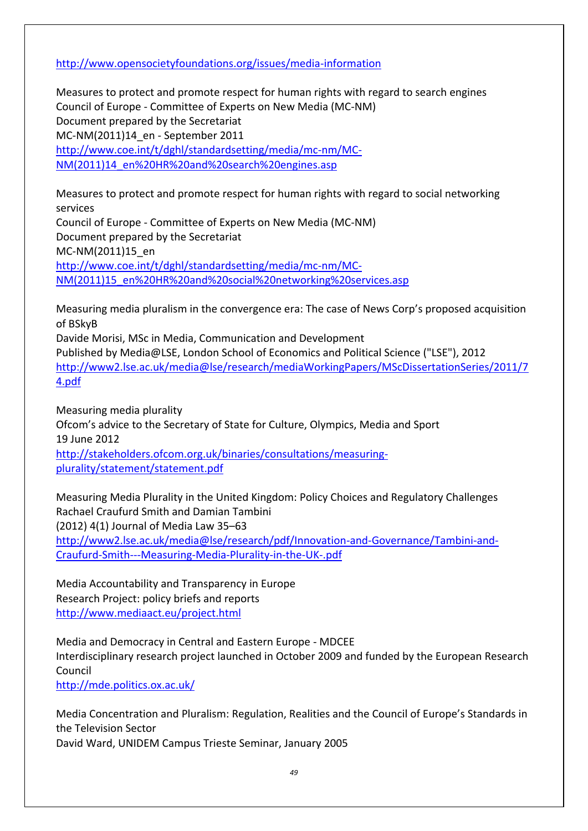<http://www.opensocietyfoundations.org/issues/media-information>

Measures to protect and promote respect for human rights with regard to search engines Council of Europe - Committee of Experts on New Media (MC-NM) Document prepared by the Secretariat MC-NM(2011)14\_en - September 2011 [http://www.coe.int/t/dghl/standardsetting/media/mc-nm/MC-](http://www.coe.int/t/dghl/standardsetting/media/mc-nm/MC-NM(2011)14_en%20HR%20and%20search%20engines.asp)[NM\(2011\)14\\_en%20HR%20and%20search%20engines.asp](http://www.coe.int/t/dghl/standardsetting/media/mc-nm/MC-NM(2011)14_en%20HR%20and%20search%20engines.asp)

Measures to protect and promote respect for human rights with regard to social networking services Council of Europe - Committee of Experts on New Media (MC-NM) Document prepared by the Secretariat MC-NM(2011)15\_en [http://www.coe.int/t/dghl/standardsetting/media/mc-nm/MC-](http://www.coe.int/t/dghl/standardsetting/media/mc-nm/MC-NM(2011)15_en%20HR%20and%20social%20networking%20services.asp)[NM\(2011\)15\\_en%20HR%20and%20social%20networking%20services.asp](http://www.coe.int/t/dghl/standardsetting/media/mc-nm/MC-NM(2011)15_en%20HR%20and%20social%20networking%20services.asp)

Measuring media pluralism in the convergence era: The case of News Corp's proposed acquisition of BSkyB

Davide Morisi, MSc in Media, Communication and Development Published by Media@LSE, London School of Economics and Political Science ("LSE"), 2012 [http://www2.lse.ac.uk/media@lse/research/mediaWorkingPapers/MScDissertationSeries/2011/7](http://www2.lse.ac.uk/media@lse/research/mediaWorkingPapers/MScDissertationSeries/2011/74.pdf) [4.pdf](http://www2.lse.ac.uk/media@lse/research/mediaWorkingPapers/MScDissertationSeries/2011/74.pdf)

Measuring media plurality Ofcom's advice to the Secretary of State for Culture, Olympics, Media and Sport 19 June 2012 [http://stakeholders.ofcom.org.uk/binaries/consultations/measuring](http://stakeholders.ofcom.org.uk/binaries/consultations/measuring-plurality/statement/statement.pdf)[plurality/statement/statement.pdf](http://stakeholders.ofcom.org.uk/binaries/consultations/measuring-plurality/statement/statement.pdf)

Measuring Media Plurality in the United Kingdom: Policy Choices and Regulatory Challenges Rachael Craufurd Smith and Damian Tambini (2012) 4(1) Journal of Media Law 35–63 [http://www2.lse.ac.uk/media@lse/research/pdf/Innovation-and-Governance/Tambini-and-](http://www2.lse.ac.uk/media@lse/research/pdf/Innovation-and-Governance/Tambini-and-Craufurd-Smith---Measuring-Media-Plurality-in-the-UK-.pdf)[Craufurd-Smith---Measuring-Media-Plurality-in-the-UK-.pdf](http://www2.lse.ac.uk/media@lse/research/pdf/Innovation-and-Governance/Tambini-and-Craufurd-Smith---Measuring-Media-Plurality-in-the-UK-.pdf)

Media Accountability and Transparency in Europe Research Project: policy briefs and reports <http://www.mediaact.eu/project.html>

Media and Democracy in Central and Eastern Europe - MDCEE Interdisciplinary research project launched in October 2009 and funded by the European Research Council

<http://mde.politics.ox.ac.uk/>

Media Concentration and Pluralism: Regulation, Realities and the Council of Europe's Standards in the Television Sector David Ward, UNIDEM Campus Trieste Seminar, January 2005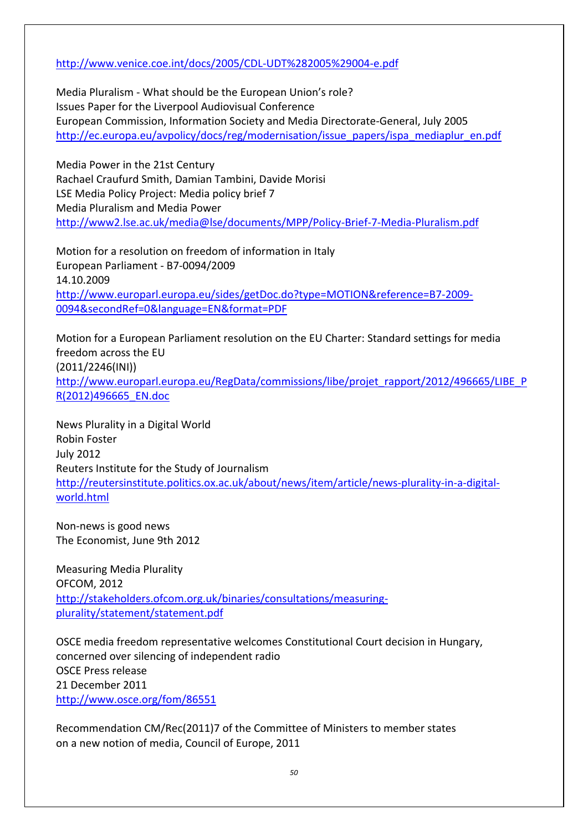#### <http://www.venice.coe.int/docs/2005/CDL-UDT%282005%29004-e.pdf>

Media Pluralism - What should be the European Union's role? Issues Paper for the Liverpool Audiovisual Conference European Commission, Information Society and Media Directorate-General, July 2005 [http://ec.europa.eu/avpolicy/docs/reg/modernisation/issue\\_papers/ispa\\_mediaplur\\_en.pdf](http://ec.europa.eu/avpolicy/docs/reg/modernisation/issue_papers/ispa_mediaplur_en.pdf)

Media Power in the 21st Century Rachael Craufurd Smith, Damian Tambini, Davide Morisi LSE Media Policy Project: Media policy brief 7 Media Pluralism and Media Power <http://www2.lse.ac.uk/media@lse/documents/MPP/Policy-Brief-7-Media-Pluralism.pdf>

Motion for a resolution on freedom of information in Italy European Parliament - B7-0094/2009 14.10.2009 [http://www.europarl.europa.eu/sides/getDoc.do?type=MOTION&reference=B7-2009-](http://www.europarl.europa.eu/sides/getDoc.do?type=MOTION&reference=B7-2009-0094&secondRef=0&language=EN&format=PDF) [0094&secondRef=0&language=EN&format=PDF](http://www.europarl.europa.eu/sides/getDoc.do?type=MOTION&reference=B7-2009-0094&secondRef=0&language=EN&format=PDF)

Motion for a European Parliament resolution on the EU Charter: Standard settings for media freedom across the EU (2011/2246(INI)) [http://www.europarl.europa.eu/RegData/commissions/libe/projet\\_rapport/2012/496665/LIBE\\_P](http://www.europarl.europa.eu/RegData/commissions/libe/projet_rapport/2012/496665/LIBE_PR(2012)496665_EN.doc) [R\(2012\)496665\\_EN.doc](http://www.europarl.europa.eu/RegData/commissions/libe/projet_rapport/2012/496665/LIBE_PR(2012)496665_EN.doc)

News Plurality in a Digital World Robin Foster July 2012 Reuters Institute for the Study of Journalism [http://reutersinstitute.politics.ox.ac.uk/about/news/item/article/news-plurality-in-a-digital](http://reutersinstitute.politics.ox.ac.uk/about/news/item/article/news-plurality-in-a-digital-world.html)[world.html](http://reutersinstitute.politics.ox.ac.uk/about/news/item/article/news-plurality-in-a-digital-world.html)

Non-news is good news The Economist, June 9th 2012

Measuring Media Plurality OFCOM, 2012 [http://stakeholders.ofcom.org.uk/binaries/consultations/measuring](http://stakeholders.ofcom.org.uk/binaries/consultations/measuring-plurality/statement/statement.pdf)[plurality/statement/statement.pdf](http://stakeholders.ofcom.org.uk/binaries/consultations/measuring-plurality/statement/statement.pdf)

OSCE media freedom representative welcomes Constitutional Court decision in Hungary, concerned over silencing of independent radio OSCE Press release 21 December 2011 <http://www.osce.org/fom/86551>

Recommendation CM/Rec(2011)7 of the Committee of Ministers to member states on a new notion of media, Council of Europe, 2011